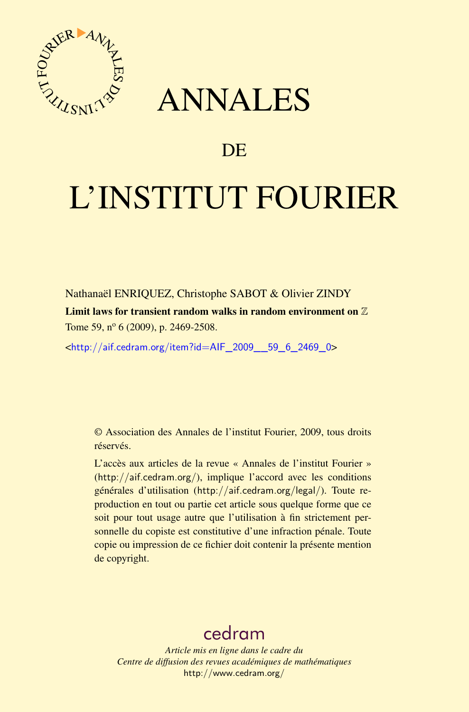

# ANNALES

# **DE**

# L'INSTITUT FOURIER

Nathanaël ENRIQUEZ, Christophe SABOT & Olivier ZINDY

Limit laws for transient random walks in random environment on  $\mathbb Z$ Tome 59,  $n^{\circ}$  6 (2009), p. 2469-2508.

<[http://aif.cedram.org/item?id=AIF\\_2009\\_\\_59\\_6\\_2469\\_0](http://aif.cedram.org/item?id=AIF_2009__59_6_2469_0)>

© Association des Annales de l'institut Fourier, 2009, tous droits réservés.

L'accès aux articles de la revue « Annales de l'institut Fourier » (<http://aif.cedram.org/>), implique l'accord avec les conditions générales d'utilisation (<http://aif.cedram.org/legal/>). Toute reproduction en tout ou partie cet article sous quelque forme que ce soit pour tout usage autre que l'utilisation à fin strictement personnelle du copiste est constitutive d'une infraction pénale. Toute copie ou impression de ce fichier doit contenir la présente mention de copyright.

# [cedram](http://www.cedram.org/)

*Article mis en ligne dans le cadre du Centre de diffusion des revues académiques de mathématiques* <http://www.cedram.org/>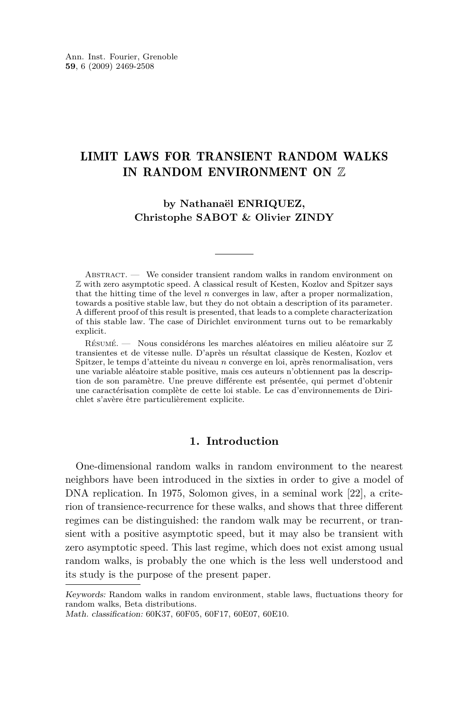## LIMIT LAWS FOR TRANSIENT RANDOM WALKS IN RANDOM ENVIRONMENT ON Z

### **by Nathanaël ENRIQUEZ, Christophe SABOT & Olivier ZINDY**

ABSTRACT.  $\qquad$  We consider transient random walks in random environment on Z with zero asymptotic speed. A classical result of Kesten, Kozlov and Spitzer says that the hitting time of the level *n* converges in law, after a proper normalization, towards a positive stable law, but they do not obtain a description of its parameter. A different proof of this result is presented, that leads to a complete characterization of this stable law. The case of Dirichlet environment turns out to be remarkably explicit.

Résumé. — Nous considérons les marches aléatoires en milieu aléatoire sur Z transientes et de vitesse nulle. D'après un résultat classique de Kesten, Kozlov et Spitzer, le temps d'atteinte du niveau *n* converge en loi, après renormalisation, vers une variable aléatoire stable positive, mais ces auteurs n'obtiennent pas la description de son paramètre. Une preuve différente est présentée, qui permet d'obtenir une caractérisation complète de cette loi stable. Le cas d'environnements de Dirichlet s'avère être particulièrement explicite.

#### **1. Introduction**

One-dimensional random walks in random environment to the nearest neighbors have been introduced in the sixties in order to give a model of DNA replication. In 1975, Solomon gives, in a seminal work [\[22\]](#page-40-0), a criterion of transience-recurrence for these walks, and shows that three different regimes can be distinguished: the random walk may be recurrent, or transient with a positive asymptotic speed, but it may also be transient with zero asymptotic speed. This last regime, which does not exist among usual random walks, is probably the one which is the less well understood and its study is the purpose of the present paper.

Keywords: Random walks in random environment, stable laws, fluctuations theory for random walks, Beta distributions.

Math. classification: 60K37, 60F05, 60F17, 60E07, 60E10.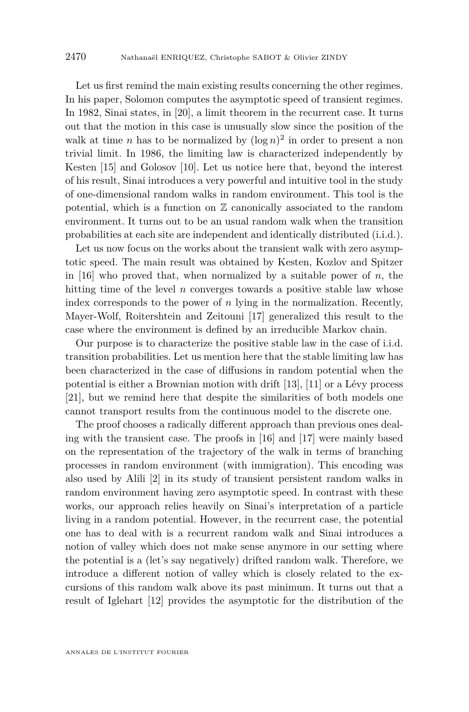Let us first remind the main existing results concerning the other regimes. In his paper, Solomon computes the asymptotic speed of transient regimes. In 1982, Sinai states, in [\[20\]](#page-39-0), a limit theorem in the recurrent case. It turns out that the motion in this case is unusually slow since the position of the walk at time *n* has to be normalized by  $(\log n)^2$  in order to present a non trivial limit. In 1986, the limiting law is characterized independently by Kesten [\[15\]](#page-39-0) and Golosov [\[10\]](#page-39-0). Let us notice here that, beyond the interest of his result, Sinai introduces a very powerful and intuitive tool in the study of one-dimensional random walks in random environment. This tool is the potential, which is a function on  $\mathbb Z$  canonically associated to the random environment. It turns out to be an usual random walk when the transition probabilities at each site are independent and identically distributed (i.i.d.).

Let us now focus on the works about the transient walk with zero asymptotic speed. The main result was obtained by Kesten, Kozlov and Spitzer in [\[16\]](#page-39-0) who proved that, when normalized by a suitable power of  $n$ , the hitting time of the level  $n$  converges towards a positive stable law whose index corresponds to the power of *n* lying in the normalization. Recently, Mayer-Wolf, Roitershtein and Zeitouni [\[17\]](#page-39-0) generalized this result to the case where the environment is defined by an irreducible Markov chain.

Our purpose is to characterize the positive stable law in the case of i.i.d. transition probabilities. Let us mention here that the stable limiting law has been characterized in the case of diffusions in random potential when the potential is either a Brownian motion with drift [\[13\]](#page-39-0), [\[11\]](#page-39-0) or a Lévy process [\[21\]](#page-39-0), but we remind here that despite the similarities of both models one cannot transport results from the continuous model to the discrete one.

The proof chooses a radically different approach than previous ones dealing with the transient case. The proofs in [\[16\]](#page-39-0) and [\[17\]](#page-39-0) were mainly based on the representation of the trajectory of the walk in terms of branching processes in random environment (with immigration). This encoding was also used by Alili [\[2\]](#page-38-0) in its study of transient persistent random walks in random environment having zero asymptotic speed. In contrast with these works, our approach relies heavily on Sinai's interpretation of a particle living in a random potential. However, in the recurrent case, the potential one has to deal with is a recurrent random walk and Sinai introduces a notion of valley which does not make sense anymore in our setting where the potential is a (let's say negatively) drifted random walk. Therefore, we introduce a different notion of valley which is closely related to the excursions of this random walk above its past minimum. It turns out that a result of Iglehart [\[12\]](#page-39-0) provides the asymptotic for the distribution of the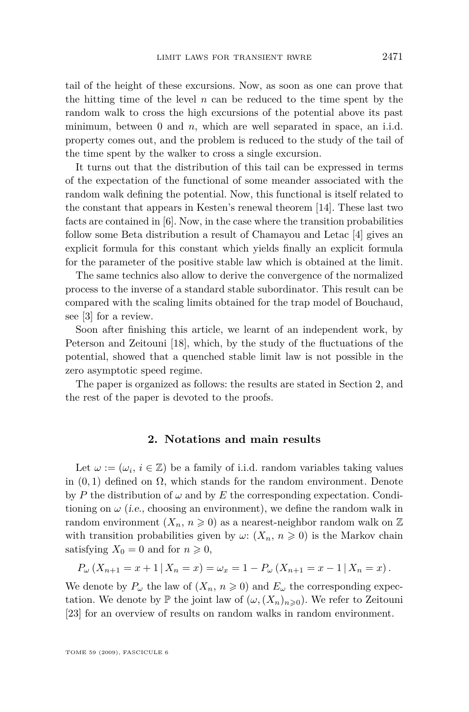tail of the height of these excursions. Now, as soon as one can prove that the hitting time of the level *n* can be reduced to the time spent by the random walk to cross the high excursions of the potential above its past minimum, between 0 and *n*, which are well separated in space, an i.i.d. property comes out, and the problem is reduced to the study of the tail of the time spent by the walker to cross a single excursion.

It turns out that the distribution of this tail can be expressed in terms of the expectation of the functional of some meander associated with the random walk defining the potential. Now, this functional is itself related to the constant that appears in Kesten's renewal theorem [\[14\]](#page-39-0). These last two facts are contained in [\[6\]](#page-39-0). Now, in the case where the transition probabilities follow some Beta distribution a result of Chamayou and Letac [\[4\]](#page-38-0) gives an explicit formula for this constant which yields finally an explicit formula for the parameter of the positive stable law which is obtained at the limit.

The same technics also allow to derive the convergence of the normalized process to the inverse of a standard stable subordinator. This result can be compared with the scaling limits obtained for the trap model of Bouchaud, see [\[3\]](#page-38-0) for a review.

Soon after finishing this article, we learnt of an independent work, by Peterson and Zeitouni [\[18\]](#page-39-0), which, by the study of the fluctuations of the potential, showed that a quenched stable limit law is not possible in the zero asymptotic speed regime.

The paper is organized as follows: the results are stated in Section 2, and the rest of the paper is devoted to the proofs.

#### **2. Notations and main results**

Let  $\omega := (\omega_i, i \in \mathbb{Z})$  be a family of i.i.d. random variables taking values in  $(0,1)$  defined on  $\Omega$ , which stands for the random environment. Denote by *P* the distribution of  $\omega$  and by *E* the corresponding expectation. Conditioning on  $\omega$  (i.e., choosing an environment), we define the random walk in random environment  $(X_n, n \geq 0)$  as a nearest-neighbor random walk on Z with transition probabilities given by  $\omega$ :  $(X_n, n \geq 0)$  is the Markov chain satisfying  $X_0 = 0$  and for  $n \geq 0$ ,

$$
P_{\omega}(X_{n+1} = x + 1 | X_n = x) = \omega_x = 1 - P_{\omega}(X_{n+1} = x - 1 | X_n = x).
$$

We denote by  $P_\omega$  the law of  $(X_n, n \geq 0)$  and  $E_\omega$  the corresponding expectation. We denote by  $\mathbb P$  the joint law of  $(\omega, (X_n)_{n\geq 0})$ . We refer to Zeitouni [\[23\]](#page-40-0) for an overview of results on random walks in random environment.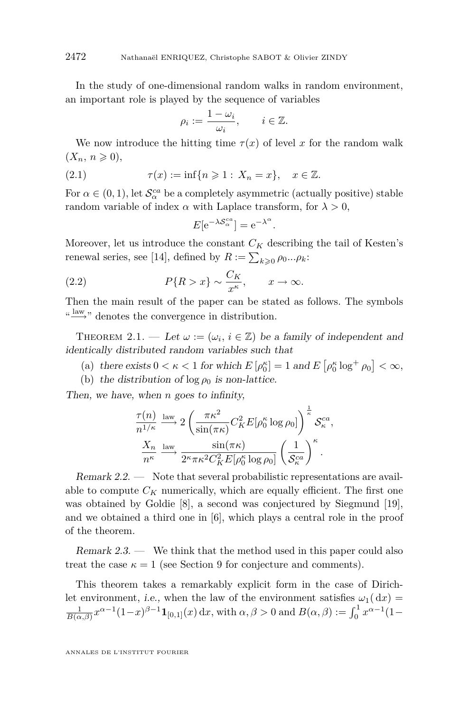<span id="page-4-0"></span>In the study of one-dimensional random walks in random environment, an important role is played by the sequence of variables

$$
\rho_i := \frac{1 - \omega_i}{\omega_i}, \qquad i \in \mathbb{Z}.
$$

We now introduce the hitting time  $\tau(x)$  of level *x* for the random walk  $(X_n, n \geqslant 0)$ ,

(2.1) 
$$
\tau(x) := \inf\{n \geq 1 : X_n = x\}, \quad x \in \mathbb{Z}.
$$

For  $\alpha \in (0, 1)$ , let  $\mathcal{S}_{\alpha}^{ca}$  be a completely asymmetric (actually positive) stable random variable of index  $\alpha$  with Laplace transform, for  $\lambda > 0$ ,

$$
E[e^{-\lambda S^{ca}_{\alpha}}] = e^{-\lambda^{\alpha}}.
$$

Moreover, let us introduce the constant  $C_K$  describing the tail of Kesten's renewal series, see [\[14\]](#page-39-0), defined by  $R := \sum_{k \geqslant 0} \rho_0 ... \rho_k$ :

(2.2) 
$$
P\{R > x\} \sim \frac{C_K}{x^{\kappa}}, \qquad x \to \infty.
$$

Then the main result of the paper can be stated as follows. The symbols "<sup>law</sup>," denotes the convergence in distribution.

THEOREM 2.1. — Let  $\omega := (\omega_i, i \in \mathbb{Z})$  be a family of independent and identically distributed random variables such that

- (a) there exists  $0 < \kappa < 1$  for which  $E[\rho_0^{\kappa}] = 1$  and  $E[\rho_0^{\kappa} \log^+ \rho_0] < \infty$ ,
- (b) the distribution of  $\log \rho_0$  is non-lattice.

Then, we have, when *n* goes to infinity,

$$
\frac{\tau(n)}{n^{1/\kappa}} \xrightarrow{\text{law}} 2\left(\frac{\pi\kappa^2}{\sin(\pi\kappa)} C_K^2 E[\rho_0^{\kappa} \log \rho_0]\right)^{\frac{1}{\kappa}} \mathcal{S}_{\kappa}^{ca},
$$

$$
\frac{X_n}{n^{\kappa}} \xrightarrow{\text{law}} \frac{\sin(\pi\kappa)}{2^{\kappa} \pi \kappa^2 C_K^2 E[\rho_0^{\kappa} \log \rho_0]} \left(\frac{1}{\mathcal{S}_{\kappa}^{ca}}\right)^{\kappa}.
$$

Remark 2.2. — Note that several probabilistic representations are available to compute  $C_K$  numerically, which are equally efficient. The first one was obtained by Goldie [\[8\]](#page-39-0), a second was conjectured by Siegmund [\[19\]](#page-39-0), and we obtained a third one in [\[6\]](#page-39-0), which plays a central role in the proof of the theorem.

Remark 2.3. — We think that the method used in this paper could also treat the case  $\kappa = 1$  (see Section [9](#page-38-0) for conjecture and comments).

This theorem takes a remarkably explicit form in the case of Dirichlet environment, i.e., when the law of the environment satisfies  $\omega_1(\,dx)$  $\frac{1}{B(\alpha,\beta)} x^{\alpha-1} (1-x)^{\beta-1} \mathbf{1}_{[0,1]}(x) dx$ , with  $\alpha, \beta > 0$  and  $B(\alpha, \beta) := \int_0^1 x^{\alpha-1} (1-x)^{\beta-1} dx$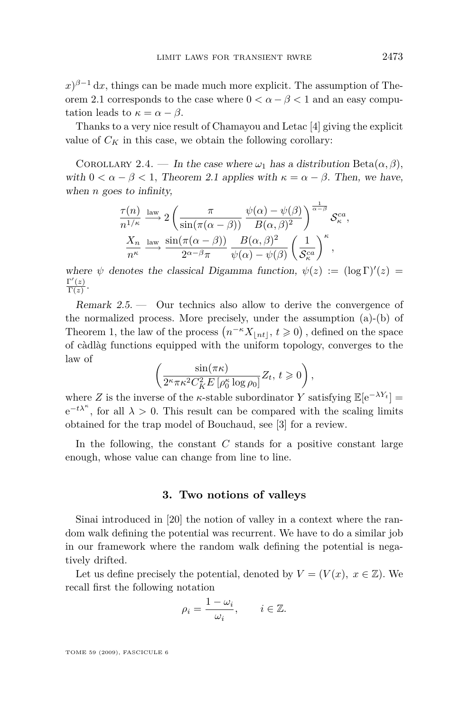$f(x)^{\beta-1} dx$ , things can be made much more explicit. The assumption of The-orem [2.1](#page-4-0) corresponds to the case where  $0 < \alpha - \beta < 1$  and an easy computation leads to  $\kappa = \alpha - \beta$ .

Thanks to a very nice result of Chamayou and Letac [\[4\]](#page-38-0) giving the explicit value of  $C_K$  in this case, we obtain the following corollary:

COROLLARY 2.4. — In the case where  $\omega_1$  has a distribution Beta $(\alpha, \beta)$ , with  $0 < \alpha - \beta < 1$ , Theorem [2.1](#page-4-0) applies with  $\kappa = \alpha - \beta$ . Then, we have, when *n* goes to infinity,

$$
\frac{\tau(n)}{n^{1/\kappa}} \xrightarrow{\text{law}} 2 \left( \frac{\pi}{\sin(\pi(\alpha - \beta))} \frac{\psi(\alpha) - \psi(\beta)}{B(\alpha, \beta)^2} \right)^{\frac{1}{\alpha - \beta}} S_{\kappa}^{ca},
$$

$$
\frac{X_n}{n^{\kappa}} \xrightarrow{\text{law}} \frac{\sin(\pi(\alpha - \beta))}{2^{\alpha - \beta} \pi} \frac{B(\alpha, \beta)^2}{\psi(\alpha) - \psi(\beta)} \left( \frac{1}{S_{\kappa}^{ca}} \right)^{\kappa},
$$

where  $\psi$  denotes the classical Digamma function,  $\psi(z) := (\log \Gamma)'(z) =$  $\Gamma'(z)$  $\frac{(z)}{\Gamma(z)}$ .

Remark 2.5. — Our technics also allow to derive the convergence of the normalized process. More precisely, under the assumption (a)-(b) of Theorem 1, the law of the process  $(n^{-\kappa}X_{\lfloor nt \rfloor}, t \geqslant 0)$ , defined on the space of càdlàg functions equipped with the uniform topology, converges to the law of

$$
\left(\frac{\sin(\pi \kappa)}{2^\kappa \pi \kappa^2 C_K^2 E\left[\rho_0^\kappa \log \rho_0\right]} Z_t,\, t\geqslant 0\right),
$$

where *Z* is the inverse of the *κ*-stable subordinator *Y* satisfying  $\mathbb{E}[e^{-\lambda Y_t}]$  =  $e^{-t\lambda^k}$ , for all  $\lambda > 0$ . This result can be compared with the scaling limits obtained for the trap model of Bouchaud, see [\[3\]](#page-38-0) for a review.

In the following, the constant *C* stands for a positive constant large enough, whose value can change from line to line.

#### **3. Two notions of valleys**

Sinai introduced in [\[20\]](#page-39-0) the notion of valley in a context where the random walk defining the potential was recurrent. We have to do a similar job in our framework where the random walk defining the potential is negatively drifted.

Let us define precisely the potential, denoted by  $V = (V(x), x \in \mathbb{Z})$ . We recall first the following notation

$$
\rho_i = \frac{1 - \omega_i}{\omega_i}, \qquad i \in \mathbb{Z}.
$$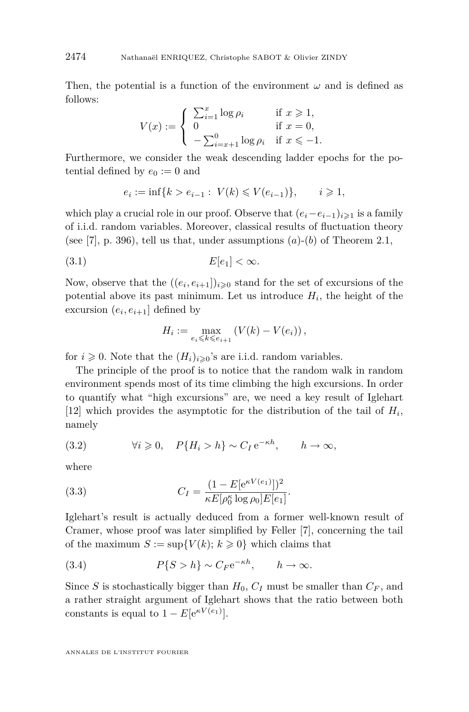Then, the potential is a function of the environment  $\omega$  and is defined as follows:

$$
V(x) := \begin{cases} \sum_{i=1}^{x} \log \rho_i & \text{if } x \geq 1, \\ 0 & \text{if } x = 0, \\ -\sum_{i=x+1}^{0} \log \rho_i & \text{if } x \leq -1. \end{cases}
$$

Furthermore, we consider the weak descending ladder epochs for the potential defined by  $e_0 := 0$  and

$$
e_i := \inf\{k > e_{i-1} : V(k) \leq V(e_{i-1})\}, \qquad i \geq 1,
$$

which play a crucial role in our proof. Observe that  $(e_i - e_{i-1})_{i \geq 1}$  is a family of i.i.d. random variables. Moreover, classical results of fluctuation theory (see [\[7\]](#page-39-0), p. 396), tell us that, under assumptions  $(a)-(b)$  of Theorem [2.1,](#page-4-0)

$$
(3.1) \t E[e_1] < \infty.
$$

Now, observe that the  $((e_i, e_{i+1})_{i \geq 0}$  stand for the set of excursions of the potential above its past minimum. Let us introduce  $H_i$ , the height of the excursion  $(e_i, e_{i+1}]$  defined by

$$
H_i := \max_{e_i \leq k \leq e_{i+1}} \left( V(k) - V(e_i) \right),
$$

for  $i \geq 0$ . Note that the  $(H_i)_{i \geq 0}$ 's are i.i.d. random variables.

The principle of the proof is to notice that the random walk in random environment spends most of its time climbing the high excursions. In order to quantify what "high excursions" are, we need a key result of Iglehart [\[12\]](#page-39-0) which provides the asymptotic for the distribution of the tail of  $H_i$ , namely

(3.2) 
$$
\forall i \geq 0, \quad P\{H_i > h\} \sim C_I e^{-\kappa h}, \qquad h \to \infty,
$$

where

(3.3) 
$$
C_I = \frac{(1 - E[e^{\kappa V(e_1)}])^2}{\kappa E[\rho_0^{\kappa} \log \rho_0] E[e_1]}.
$$

Iglehart's result is actually deduced from a former well-known result of Cramer, whose proof was later simplified by Feller [\[7\]](#page-39-0), concerning the tail of the maximum  $S := \sup\{V(k); k \geq 0\}$  which claims that

(3.4) 
$$
P\{S > h\} \sim C_F e^{-\kappa h}, \qquad h \to \infty.
$$

Since *S* is stochastically bigger than  $H_0$ ,  $C_I$  must be smaller than  $C_F$ , and a rather straight argument of Iglehart shows that the ratio between both constants is equal to  $1 - E[e^{\kappa V(e_1)}].$ 

<span id="page-6-0"></span>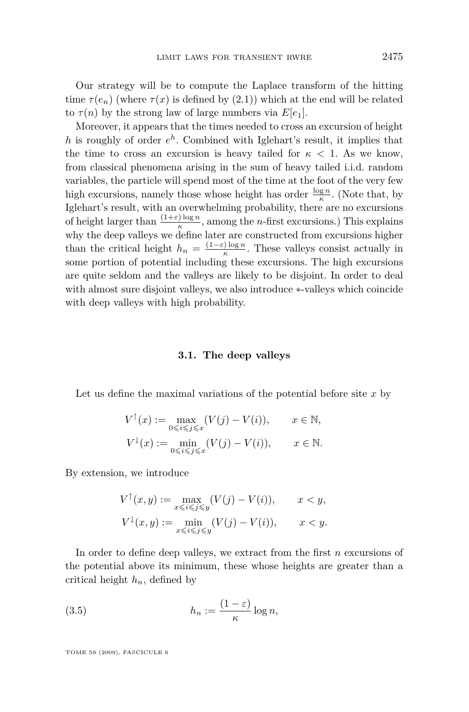Our strategy will be to compute the Laplace transform of the hitting time  $\tau(e_n)$  (where  $\tau(x)$  is defined by [\(2.1\)](#page-4-0)) which at the end will be related to  $\tau(n)$  by the strong law of large numbers via  $E[e_1]$ .

Moreover, it appears that the times needed to cross an excursion of height *h* is roughly of order *e h* . Combined with Iglehart's result, it implies that the time to cross an excursion is heavy tailed for  $\kappa$  < 1. As we know, from classical phenomena arising in the sum of heavy tailed i.i.d. random variables, the particle will spend most of the time at the foot of the very few high excursions, namely those whose height has order  $\frac{\log n}{\kappa}$ . (Note that, by Iglehart's result, with an overwhelming probability, there are no excursions of height larger than  $\frac{(1+\varepsilon)\log n}{\kappa}$ , among the *n*-first excursions.) This explains why the deep valleys we define later are constructed from excursions higher than the critical height  $h_n = \frac{(1-\varepsilon)\log n}{\kappa}$  $\frac{f \log n}{\kappa}$ . These valleys consist actually in some portion of potential including these excursions. The high excursions are quite seldom and the valleys are likely to be disjoint. In order to deal with almost sure disjoint valleys, we also introduce *∗*-valleys which coincide with deep valleys with high probability.

#### **3.1. The deep valleys**

Let us define the maximal variations of the potential before site *x* by

$$
V^{\uparrow}(x) := \max_{0 \le i \le j \le x} (V(j) - V(i)), \qquad x \in \mathbb{N},
$$
  

$$
V^{\downarrow}(x) := \min_{0 \le i \le j \le x} (V(j) - V(i)), \qquad x \in \mathbb{N}.
$$

By extension, we introduce

$$
V^{\uparrow}(x, y) := \max_{x \le i \le j \le y} (V(j) - V(i)), \qquad x < y,
$$
  

$$
V^{\downarrow}(x, y) := \min_{x \le i \le j \le y} (V(j) - V(i)), \qquad x < y.
$$

In order to define deep valleys, we extract from the first *n* excursions of the potential above its minimum, these whose heights are greater than a critical height  $h_n$ , defined by

(3.5) 
$$
h_n := \frac{(1 - \varepsilon)}{\kappa} \log n,
$$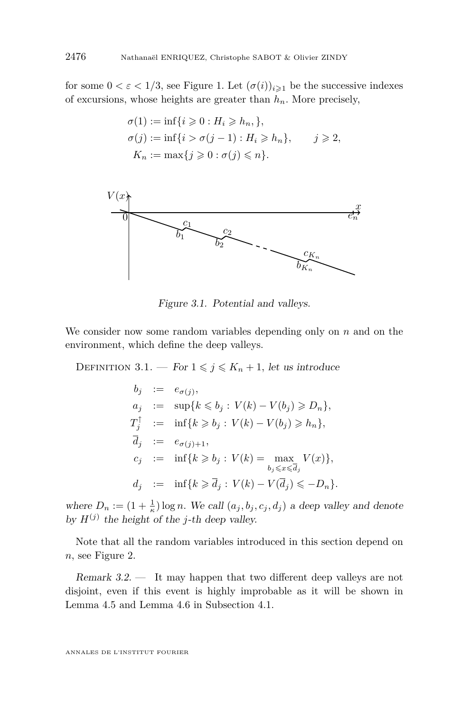for some  $0 < \varepsilon < 1/3$ , see Figure 1. Let  $(\sigma(i))_{i \geq 1}$  be the successive indexes of excursions, whose heights are greater than  $h_n$ . More precisely,

$$
\sigma(1) := \inf\{i \geq 0 : H_i \geq h_n, \},
$$
  
\n
$$
\sigma(j) := \inf\{i > \sigma(j-1) : H_i \geq h_n \}, \quad j \geq 2,
$$
  
\n
$$
K_n := \max\{j \geq 0 : \sigma(j) \leq n\}.
$$



Figure 3.1. Potential and valleys.

We consider now some random variables depending only on *n* and on the environment, which define the deep valleys.

DEFINITION 3.1. — For  $1 \leq j \leq K_n + 1$ , let us introduce

$$
b_j := e_{\sigma(j)},
$$
  
\n
$$
a_j := \sup\{k \leq b_j : V(k) - V(b_j) \geq D_n\},
$$
  
\n
$$
T_j^{\uparrow} := \inf\{k \geq b_j : V(k) - V(b_j) \geq h_n\},
$$
  
\n
$$
\overline{d}_j := e_{\sigma(j)+1},
$$
  
\n
$$
c_j := \inf\{k \geq b_j : V(k) = \max_{b_j \leq x \leq \overline{d}_j} V(x)\},
$$
  
\n
$$
d_j := \inf\{k \geq \overline{d}_j : V(k) - V(\overline{d}_j) \leq -D_n\}.
$$

where  $D_n := (1 + \frac{1}{\kappa}) \log n$ . We call  $(a_j, b_j, c_j, d_j)$  a deep valley and denote by  $H^{(j)}$  the height of the *j*-th deep valley.

Note that all the random variables introduced in this section depend on *n,* see Figure 2.

Remark 3.2. — It may happen that two different deep valleys are not disjoint, even if this event is highly improbable as it will be shown in Lemma [4.5](#page-12-0) and Lemma [4.6](#page-12-0) in Subsection [4.1.](#page-10-0)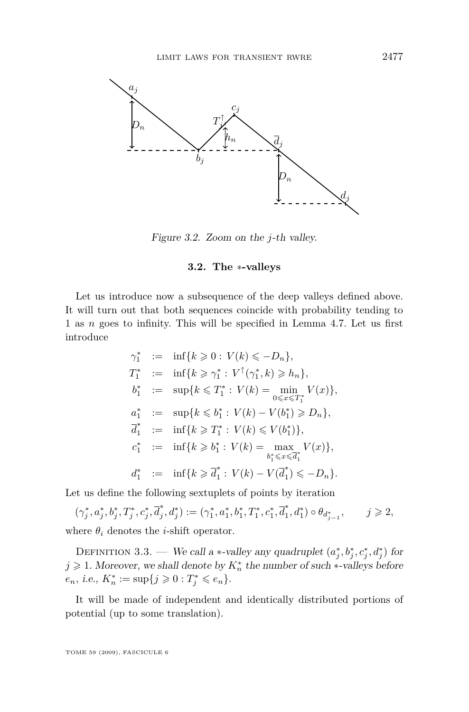

Figure 3.2. Zoom on the *j*-th valley.

#### **3.2. The** *∗***-valleys**

Let us introduce now a subsequence of the deep valleys defined above. It will turn out that both sequences coincide with probability tending to 1 as *n* goes to infinity. This will be specified in Lemma [4.7.](#page-14-0) Let us first introduce

$$
\gamma_1^* := \inf\{k \geq 0 : V(k) \leq -D_n\},
$$
  
\n
$$
T_1^* := \inf\{k \geq \gamma_1^* : V^\uparrow(\gamma_1^*, k) \geq h_n\},
$$
  
\n
$$
b_1^* := \sup\{k \leq T_1^* : V(k) = \min_{0 \leq x \leq T_1^*} V(x)\},
$$
  
\n
$$
a_1^* := \sup\{k \leq b_1^* : V(k) - V(b_1^*) \geq D_n\},
$$
  
\n
$$
\overline{d}_1^* := \inf\{k \geq T_1^* : V(k) \leq V(b_1^*)\},
$$
  
\n
$$
c_1^* := \inf\{k \geq b_1^* : V(k) = \max_{b_1^* \leq x \leq \overline{d}_1^*} V(x)\},
$$
  
\n
$$
d_1^* := \inf\{k \geq \overline{d}_1^* : V(k) - V(\overline{d}_1^*) \leq -D_n\}.
$$

Let us define the following sextuplets of points by iteration

 $(\gamma^*_j, a^*_j, b^*_j, T^*_j, c^*_j, \overline{d}^*_j)$  $f_j^*, d_j^* := (\gamma_1^*, a_1^*, b_1^*, T_1^*, c_1^*, \overline{d}_1^*$  $\theta_{d_{j-1}^*}$   $\theta_{d_{j-1}^*}$  $j \geqslant 2$ where  $\theta_i$  denotes the *i*-shift operator.

DEFINITION 3.3. — We call a *\**-valley any quadruplet  $(a_j^*, b_j^*, c_j^*, d_j^*)$  for *j* ≥ 1*.* Moreover, we shall denote by  $K_n^*$  the number of such *∗*-valleys before  $e_n$ *, i.e.,*  $K_n^* := \sup\{j \geq 0 : T_j^* \leq e_n\}.$ 

It will be made of independent and identically distributed portions of potential (up to some translation).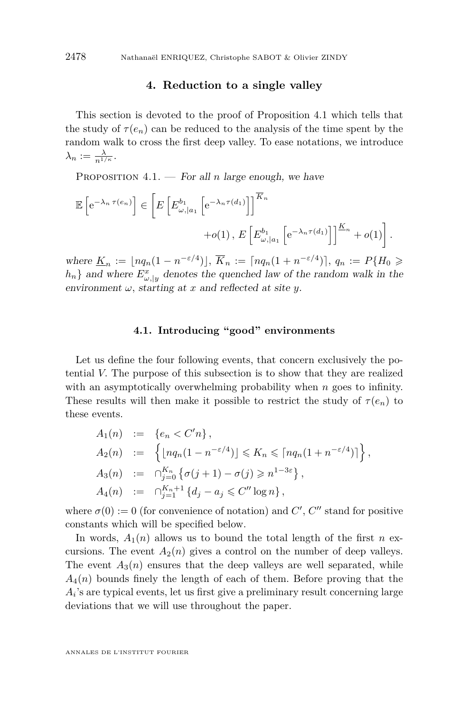#### **4. Reduction to a single valley**

<span id="page-10-0"></span>This section is devoted to the proof of Proposition 4.1 which tells that the study of  $\tau(e_n)$  can be reduced to the analysis of the time spent by the random walk to cross the first deep valley. To ease notations, we introduce  $\lambda_n := \frac{\lambda}{n^{1/\kappa}}$ .

PROPOSITION  $4.1.$  – For all *n* large enough, we have

$$
\mathbb{E}\left[e^{-\lambda_n \tau(e_n)}\right] \in \left[E\left[E_{\omega,|a_1}^{b_1}\left[e^{-\lambda_n \tau(d_1)}\right]\right]^{\overline{K}_n} + o(1), E\left[E_{\omega,|a_1}^{b_1}\left[e^{-\lambda_n \tau(d_1)}\right]\right]^{\underline{K}_n} + o(1)\right].
$$

where  $\underline{K}_n := \lfloor nq_n(1 - n^{-\epsilon/4}) \rfloor$ ,  $\overline{K}_n := \lceil nq_n(1 + n^{-\epsilon/4}) \rceil$ ,  $q_n := P\{H_0 \geq$  $h_n$ *}* and where  $E^x_{\omega, |y|}$  denotes the quenched law of the random walk in the environment  $\omega$ , starting at *x* and reflected at site *y*.

#### **4.1. Introducing "good" environments**

Let us define the four following events, that concern exclusively the potential *V.* The purpose of this subsection is to show that they are realized with an asymptotically overwhelming probability when *n* goes to infinity. These results will then make it possible to restrict the study of  $\tau(e_n)$  to these events.

$$
A_1(n) := \{e_n < C'n\},
$$
  
\n
$$
A_2(n) := \left\{ \lfloor nq_n(1 - n^{-\varepsilon/4}) \rfloor \le K_n \le \lceil nq_n(1 + n^{-\varepsilon/4}) \rceil \right\},
$$
  
\n
$$
A_3(n) := \bigcap_{j=0}^{K_n} \left\{ \sigma(j+1) - \sigma(j) \ge n^{1-3\varepsilon} \right\},
$$
  
\n
$$
A_4(n) := \bigcap_{j=1}^{K_n+1} \left\{ d_j - a_j \le C'' \log n \right\},
$$

where  $\sigma(0) := 0$  (for convenience of notation) and  $C', C''$  stand for positive constants which will be specified below.

In words,  $A_1(n)$  allows us to bound the total length of the first *n* excursions. The event  $A_2(n)$  gives a control on the number of deep valleys. The event  $A_3(n)$  ensures that the deep valleys are well separated, while *A*4(*n*) bounds finely the length of each of them. Before proving that the  $A_i$ 's are typical events, let us first give a preliminary result concerning large deviations that we will use throughout the paper.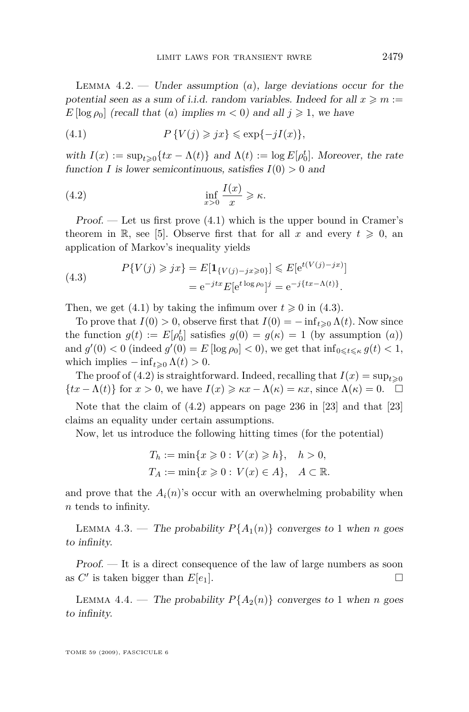<span id="page-11-0"></span>LEMMA  $4.2.$  — Under assumption  $(a)$ , large deviations occur for the potential seen as a sum of i.i.d. random variables. Indeed for all  $x \geq m$ : *E* [log  $\rho_0$ ] (recall that (*a*) implies  $m < 0$ ) and all  $j \ge 1$ , we have

(4.1) 
$$
P\{V(j) \geq jx\} \leq \exp\{-jI(x)\},\
$$

with  $I(x) := \sup_{t \geq 0} \{ tx - \Lambda(t) \}$  and  $\Lambda(t) := \log E[\rho_0^t]$ . Moreover, the rate function *I* is lower semicontinuous, satisfies  $I(0) > 0$  and

(4.2) 
$$
\inf_{x>0} \frac{I(x)}{x} \geqslant \kappa.
$$

 $Proof.$  — Let us first prove  $(4.1)$  which is the upper bound in Cramer's theorem in R, see [\[5\]](#page-39-0). Observe first that for all x and every  $t \geq 0$ , and application of Markov's inequality yields

(4.3) 
$$
P\{V(j) \geq jx\} = E[\mathbf{1}_{\{V(j) - jx \geq 0\}}] \leq E[e^{t(V(j) - jx)}]
$$

$$
= e^{-jtx} E[e^{t \log \rho_0}]^j = e^{-j\{tx - \Lambda(t)\}}.
$$

Then, we get (4.1) by taking the infimum over  $t \geq 0$  in (4.3).

To prove that  $I(0) > 0$ , observe first that  $I(0) = -\inf_{t \geq 0} \Lambda(t)$ . Now since the function  $g(t) := E[\rho_0^t]$  satisfies  $g(0) = g(\kappa) = 1$  (by assumption  $(a)$ ) and  $g'(0) < 0$  (indeed  $g'(0) = E[\log \rho_0] < 0$ ), we get that  $\inf_{0 \le t \le \kappa} g(t) < 1$ , which implies  $-\inf_{t\geqslant 0} \Lambda(t) > 0$ .

The proof of (4.2) is straightforward. Indeed, recalling that  $I(x) = \sup_{t \geq 0}$ *{tx* −  $\Lambda$ (*t*)*}* for *x* > 0*,* we have  $I(x) \geq \kappa x - \Lambda(\kappa) = \kappa x$ , since  $\Lambda(\kappa) = 0$ . □

Note that the claim of (4.2) appears on page 236 in [\[23\]](#page-40-0) and that [\[23\]](#page-40-0) claims an equality under certain assumptions.

Now, let us introduce the following hitting times (for the potential)

$$
T_h := \min\{x \geqslant 0 : V(x) \geqslant h\}, \quad h > 0,
$$
\n
$$
T_A := \min\{x \geqslant 0 : V(x) \in A\}, \quad A \subset \mathbb{R}.
$$

and prove that the  $A_i(n)$ 's occur with an overwhelming probability when *n* tends to infinity.

LEMMA 4.3. — The probability  $P{A_1(n)}$  converges to 1 when *n* goes to infinity.

Proof. — It is a direct consequence of the law of large numbers as soon as  $C'$  is taken bigger than  $E[e_1]$ .

LEMMA 4.4. — The probability  $P{A_2(n)}$  converges to 1 when *n* goes to infinity.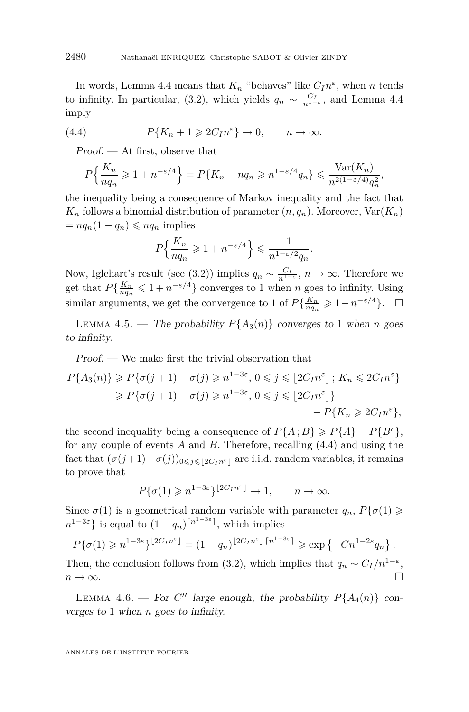<span id="page-12-0"></span>In words, Lemma [4.4](#page-11-0) means that  $K_n$  "behaves" like  $C_I n^{\varepsilon}$ , when *n* tends to infinity. In particular, [\(3.2\)](#page-6-0), which yields  $q_n \sim \frac{C_I}{n^{1-\epsilon}}$ , and Lemma [4.4](#page-11-0) imply

(4.4) 
$$
P\{K_n+1\geqslant 2C_I n^{\varepsilon}\}\to 0, \qquad n\to\infty.
$$

Proof. — At first, observe that

$$
P\left\{\frac{K_n}{nq_n} \geq 1 + n^{-\varepsilon/4}\right\} = P\{K_n - nq_n \geq n^{1-\varepsilon/4}q_n\} \leq \frac{\text{Var}(K_n)}{n^{2(1-\varepsilon/4)}q_n^2},
$$

the inequality being a consequence of Markov inequality and the fact that  $K_n$  follows a binomial distribution of parameter  $(n, q_n)$ . Moreover,  $Var(K_n)$  $= n q_n (1 - q_n) \leqslant n q_n$  implies

$$
P\Big\{\frac{K_n}{nq_n}\geqslant 1+n^{-\varepsilon/4}\Big\}\leqslant \frac{1}{n^{1-\varepsilon/2}q_n}
$$

*.*

Now, Iglehart's result (see [\(3.2\)](#page-6-0)) implies  $q_n \sim \frac{C_I}{n^{1-\epsilon}}$ ,  $n \to \infty$ . Therefore we get that  $P\{\frac{K_n}{nq_n} \leq 1 + n^{-\varepsilon/4}\}\)$  converges to 1 when *n* goes to infinity. Using similar arguments, we get the convergence to 1 of  $P\{\frac{K_n}{nq_n}\geq 1-n^{-\epsilon/4}\}$ .  $\Box$ 

LEMMA 4.5. — The probability  $P{A_3(n)}$  converges to 1 when *n* goes to infinity.

Proof. — We make first the trivial observation that

$$
P\{A_3(n)\} \ge P\{\sigma(j+1) - \sigma(j) \ge n^{1-3\varepsilon}, 0 \le j \le \lfloor 2C_I n^{\varepsilon} \rfloor; K_n \le 2C_I n^{\varepsilon} \}
$$
  
\n
$$
\ge P\{\sigma(j+1) - \sigma(j) \ge n^{1-3\varepsilon}, 0 \le j \le \lfloor 2C_I n^{\varepsilon} \rfloor \}
$$
  
\n
$$
-P\{K_n \ge 2C_I n^{\varepsilon}\},
$$

the second inequality being a consequence of  $P{A; B} \ge P{A} - P{B^c}$ , for any couple of events *A* and *B.* Therefore, recalling (4.4) and using the fact that  $(\sigma(j+1) - \sigma(j))_{0 \leq j \leq 2C_I n^{\varepsilon}}$  are i.i.d. random variables, it remains to prove that

$$
P\{\sigma(1)\geqslant n^{1-3\varepsilon}\}^{\lfloor 2C_Im^{\varepsilon}\rfloor}\to 1,\qquad n\to\infty.
$$

Since  $\sigma(1)$  is a geometrical random variable with parameter  $q_n$ ,  $P\{\sigma(1)\geq$  $n^{1-3\varepsilon}$  is equal to  $(1-q_n)^{\lceil n^{1-3\varepsilon} \rceil}$ , which implies

$$
P\{\sigma(1)\geqslant n^{1-3\varepsilon}\}^{\lfloor 2C_Im^{\varepsilon}\rfloor} = (1-q_n)^{\lfloor 2C_Im^{\varepsilon}\rfloor\lceil n^{1-3\varepsilon}\rceil} \geqslant \exp\left\{-Cn^{1-2\varepsilon}q_n\right\}.
$$

Then, the conclusion follows from [\(3.2\)](#page-6-0), which implies that  $q_n \sim C_I/n^{1-\varepsilon}$ ,  $n \to \infty$ .

LEMMA 4.6. — For C'' large enough, the probability  $P{A_4(n)}$  converges to 1 when *n* goes to infinity.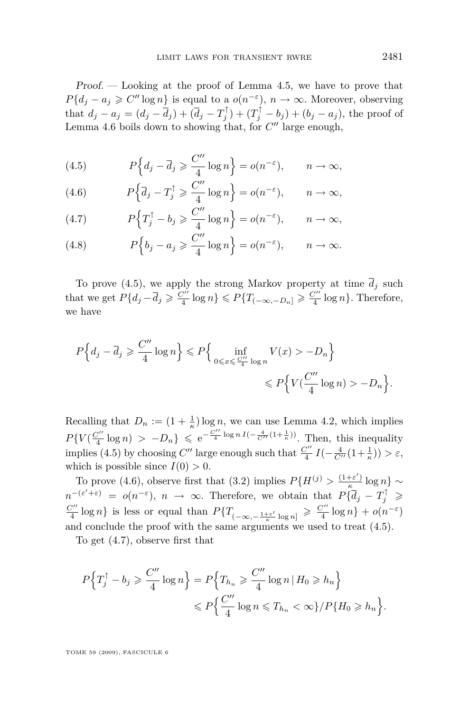<span id="page-13-0"></span>Proof. — Looking at the proof of Lemma [4.5,](#page-12-0) we have to prove that *P*<sup>{</sup> $d_j - a_j \ge C'' \log n$ } is equal to a  $o(n^{-\varepsilon})$ ,  $n \to \infty$ *.* Moreover, observing that  $d_j - a_j = (d_j - \bar{d}_j) + (\bar{d}_j - T_j^{\uparrow}) + (T_j^{\uparrow} - b_j) + (b_j - a_j)$ , the proof of Lemma [4.6](#page-12-0) boils down to showing that, for  $C''$  large enough,

(4.5) 
$$
P\Big\{d_j - \overline{d}_j \geqslant \frac{C''}{4}\log n\Big\} = o(n^{-\varepsilon}), \qquad n \to \infty,
$$

(4.6) 
$$
P\left\{\overline{d}_j - T_j^{\uparrow} \geqslant \frac{C''}{4}\log n\right\} = o(n^{-\varepsilon}), \qquad n \to \infty,
$$

(4.7) 
$$
P\Big\{T_j^{\uparrow} - b_j \geqslant \frac{C''}{4}\log n\Big\} = o(n^{-\varepsilon}), \qquad n \to \infty,
$$

(4.8) 
$$
P\Big\{b_j - a_j \geqslant \frac{C''}{4}\log n\Big\} = o(n^{-\varepsilon}), \qquad n \to \infty.
$$

To prove (4.5), we apply the strong Markov property at time  $\overline{d}_j$  such that we get  $P\{d_j - \overline{d}_j \geqslant \frac{C''}{4}\}$ *g*<sup>*n*</sup></sup>  $\log n$ <sup>}</sup> ≤ *P*{*T*<sub>(*−∞,−D<sub>n</sub>*] ≥  $\frac{C''}{4}$ </sub>  $\frac{\sqrt{n}}{4}$  log *n*<sup>2</sup>. Therefore, we have

$$
P\Big\{d_j - \overline{d}_j \geqslant \frac{C''}{4}\log n\Big\} \leqslant P\Big\{\inf_{0 \leqslant x \leqslant \frac{C''}{4}\log n} V(x) > -D_n\Big\}
$$
\n
$$
\leqslant P\Big\{V(\frac{C''}{4}\log n) > -D_n\Big\}.
$$

Recalling that  $D_n := (1 + \frac{1}{\kappa}) \log n$ , we can use Lemma [4.2,](#page-10-0) which implies  $P\{V(\frac{C''}{4})\}$  $\frac{C''}{4}$  log *n*) >  $-D_n$ }  $\leqslant e^{-\frac{C''}{4} \log n I(-\frac{4}{C''}(1+\frac{1}{\kappa}))}$ . Then, this inequality implies (4.5) by choosing  $C''$  large enough such that  $\frac{C''}{4}$  $\frac{C''}{4} I(-\frac{4}{C''}(1+\frac{1}{\kappa})) > \varepsilon,$ which is possible since  $I(0) > 0$ .

To prove (4.6), observe first that [\(3.2\)](#page-6-0) implies  $P\{H^{(j)} > \frac{(1+\varepsilon')}{\kappa}\}$ *κ* log *n} ∼*  $n^{-(\varepsilon' + \varepsilon)} = o(n^{-\varepsilon}), n \to \infty$ . Therefore, we obtain that  $P\{\overline{d}_j - T_j^{\uparrow} \geq 0\}$  $C^{\prime\prime}$  $\frac{C''}{4}$  log *n*} is less or equal than  $P\{T_{(-\infty, -\frac{1+\varepsilon'}{\kappa}\log n]}\geqslant \frac{C''}{4}\}$  $\frac{C'''}{4} \log n$  +  $o(n^{-\varepsilon})$ and conclude the proof with the same arguments we used to treat (4.5).

To get (4.7), observe first that

$$
P\Big\{T_j^\uparrow - b_j \geqslant \frac{C''}{4}\log n\Big\} = P\Big\{T_{h_n} \geqslant \frac{C''}{4}\log n \,|\, H_0 \geqslant h_n\Big\}
$$
  

$$
\leqslant P\Big\{\frac{C''}{4}\log n \leqslant T_{h_n} < \infty\}/P\{H_0 \geqslant h_n\Big\}.
$$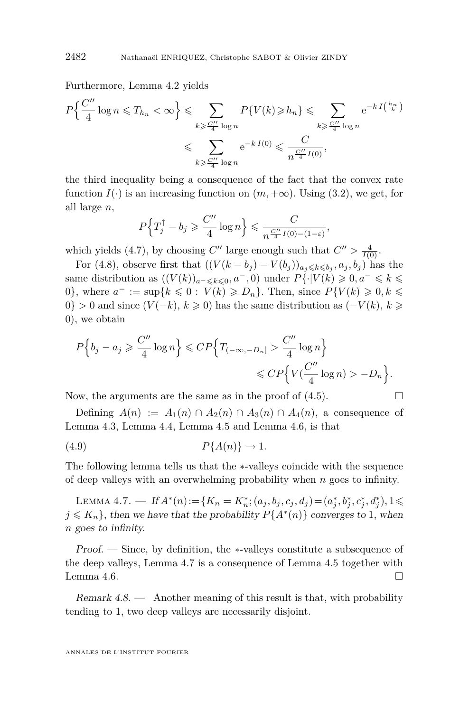<span id="page-14-0"></span>Furthermore, Lemma [4.2](#page-10-0) yields

$$
P\left\{\frac{C''}{4}\log n \leq T_{h_n} < \infty\right\} \leq \sum_{k \geq \frac{C''}{4}\log n} P\{V(k) \geq h_n\} \leq \sum_{k \geq \frac{C''}{4}\log n} e^{-k \cdot I\left(\frac{h_n}{k}\right)}
$$
\n
$$
\leq \sum_{k \geq \frac{C''}{4}\log n} e^{-k \cdot I(0)} \leq \frac{C}{n^{\frac{C''}{4}I(0)}},
$$

the third inequality being a consequence of the fact that the convex rate function  $I(\cdot)$  is an increasing function on  $(m, +\infty)$ . Using [\(3.2\)](#page-6-0), we get, for all large *n,*

$$
P\Big\{T_j^{\uparrow} - b_j \geqslant \frac{C''}{4}\log n\Big\} \leqslant \frac{C}{n^{\frac{C''}{4}I(0)-(1-\varepsilon)}},
$$

which yields [\(4.7\)](#page-13-0), by choosing  $C''$  large enough such that  $C'' > \frac{4}{I(0)}$ .

For [\(4.8\)](#page-13-0), observe first that  $((V(k - b_j) - V(b_j))_{a_j \leq k \leq b_j}, a_j, b_j)$  has the same distribution as  $((V(k))_{a^{-} \leq k \leq 0}, a^{-}, 0)$  under  $P\{\cdot | V(k) \geq 0, a^{-} \leq k \leq 0\}$ 0<sup>}</sup>, where  $a^- := \sup\{k \leq 0 : V(k) \geq D_n\}$ . Then, since  $P\{V(k) \geq 0, k \leq 0\}$ 0<sup>}</sup> > 0 and since  $(V(-k), k \ge 0)$  has the same distribution as  $(-V(k), k \ge 0)$ 0)*,* we obtain

$$
P\Big\{b_j - a_j \geqslant \frac{C''}{4}\log n\Big\} \leqslant CP\Big\{T_{(-\infty, -D_n]} > \frac{C''}{4}\log n\Big\}
$$
  

$$
\leqslant CP\Big\{V(\frac{C''}{4}\log n) > -D_n\Big\}.
$$

Now, the arguments are the same as in the proof of  $(4.5)$ .

Defining  $A(n) := A_1(n) \cap A_2(n) \cap A_3(n) \cap A_4(n)$ , a consequence of Lemma [4.3,](#page-11-0) Lemma [4.4,](#page-11-0) Lemma [4.5](#page-12-0) and Lemma [4.6,](#page-12-0) is that

$$
(4.9) \t\t P{A(n)} \to 1.
$$

The following lemma tells us that the *∗*-valleys coincide with the sequence of deep valleys with an overwhelming probability when *n* goes to infinity.

LEMMA 4.7. — If  $A^*(n) := \{K_n = K_n^*; (a_j, b_j, c_j, d_j) = (a_j^*, b_j^*, c_j^*, d_j^*), 1 \leq$  $j \leq K_n$ , then we have that the probability  $P\{A^*(n)\}$  converges to 1, when *n* goes to infinity.

Proof. — Since, by definition, the *∗*-valleys constitute a subsequence of the deep valleys, Lemma 4.7 is a consequence of Lemma [4.5](#page-12-0) together with Lemma [4.6.](#page-12-0)  $\Box$ 

Remark  $4.8$  — Another meaning of this result is that, with probability tending to 1*,* two deep valleys are necessarily disjoint.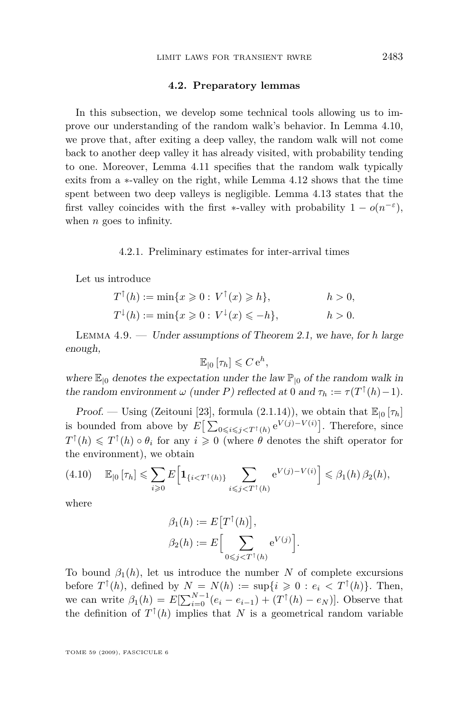#### **4.2. Preparatory lemmas**

<span id="page-15-0"></span>In this subsection, we develop some technical tools allowing us to improve our understanding of the random walk's behavior. In Lemma [4.10,](#page-19-0) we prove that, after exiting a deep valley, the random walk will not come back to another deep valley it has already visited, with probability tending to one. Moreover, Lemma [4.11](#page-20-0) specifies that the random walk typically exits from a *∗*-valley on the right, while Lemma [4.12](#page-21-0) shows that the time spent between two deep valleys is negligible. Lemma [4.13](#page-22-0) states that the first valley coincides with the first *\**-valley with probability  $1 - o(n^{-\epsilon})$ , when *n* goes to infinity.

#### 4.2.1. Preliminary estimates for inter-arrival times

Let us introduce

$$
T^{\uparrow}(h) := \min\{x \geq 0 : V^{\uparrow}(x) \geq h\}, \qquad h > 0,
$$
  

$$
T^{\downarrow}(h) := \min\{x \geq 0 : V^{\downarrow}(x) \leq h\}, \qquad h > 0.
$$

Lemma 4.9. — Under assumptions of Theorem [2.1,](#page-4-0) we have, for *h* large enough,

$$
\mathbb{E}_{\vert 0}\left[\tau_h\right] \leqslant C e^h,
$$

where  $\mathbb{E}_{\vert 0}$  denotes the expectation under the law  $\mathbb{P}_{\vert 0}$  of the random walk in the random environment  $\omega$  (under *P*) reflected at 0 and  $\tau_h := \tau(T^{\uparrow}(h) - 1)$ *.* 

Proof. — Using (Zeitouni [\[23\]](#page-40-0), formula (2.1.14)), we obtain that  $\mathbb{E}_{[0]}[\tau_h]$ is bounded from above by  $E\left[\sum_{0 \leq i \leq j \leq T^{\dagger}(h)} e^{V(j)-V(i)}\right]$ . Therefore, since  $T^{\uparrow}(h) \leq T^{\uparrow}(h) \circ \theta_i$  for any  $i \geq 0$  (where  $\theta$  denotes the shift operator for the environment), we obtain

$$
(4.10) \quad \mathbb{E}_{\vert 0} \left[ \tau_h \right] \leqslant \sum_{i \geqslant 0} E \Big[ \mathbf{1}_{\{i < T^\dagger(h)\}} \sum_{i \leqslant j < T^\dagger(h)} \mathrm{e}^{V(j) - V(i)} \Big] \leqslant \beta_1(h) \, \beta_2(h),
$$

where

$$
\beta_1(h) := E\big[T^{\uparrow}(h)\big],
$$
  

$$
\beta_2(h) := E\Big[\sum_{0 \le j < T^{\uparrow}(h)} e^{V(j)}\Big].
$$

To bound  $\beta_1(h)$ , let us introduce the number *N* of complete excursions before  $T^{\uparrow}(h)$ , defined by  $N = N(h) := \sup\{i \geq 0 : e_i < T^{\uparrow}(h)\}.$  Then, we can write  $\beta_1(h) = E[\sum_{i=0}^{N-1} (e_i - e_{i-1}) + (T^{\uparrow}(h) - e_N)].$  Observe that the definition of  $T^{\uparrow}(h)$  implies that *N* is a geometrical random variable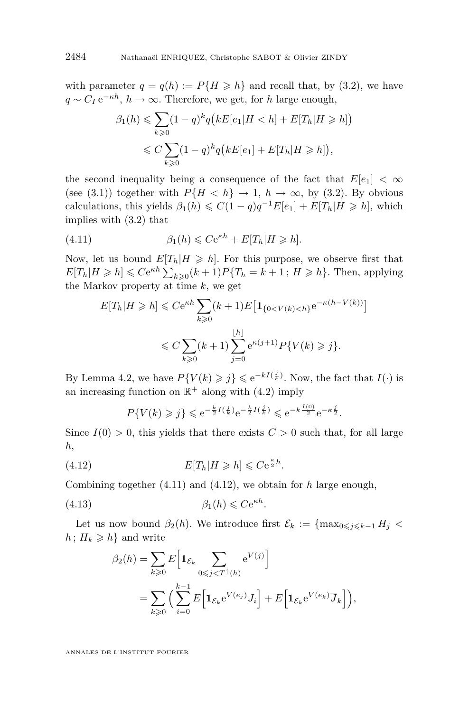<span id="page-16-0"></span>with parameter  $q = q(h) := P\{H \ge h\}$  and recall that, by [\(3.2\)](#page-6-0), we have *q ∼ C<sup>I</sup>* e *<sup>−</sup>κh, h → ∞.* Therefore, we get, for *h* large enough,

$$
\beta_1(h) \leqslant \sum_{k\geqslant 0} (1-q)^k q\big(kE[e_1|H < h] + E[T_h|H \geqslant h]\big)
$$
\n
$$
\leqslant C \sum_{k\geqslant 0} (1-q)^k q\big(kE[e_1] + E[T_h|H \geqslant h]\big),
$$

the second inequality being a consequence of the fact that  $E[e_1] < \infty$ (see [\(3.1\)](#page-6-0)) together with  $P{H < h} \rightarrow 1, h \rightarrow \infty$ , by [\(3.2\)](#page-6-0). By obvious calculations, this yields  $\beta_1(h) \leq C(1-q)q^{-1}E[e_1] + E[T_h|H \geq h]$ , which implies with [\(3.2\)](#page-6-0) that

(4.11) 
$$
\beta_1(h) \leqslant Ce^{\kappa h} + E[T_h|H \geqslant h].
$$

Now, let us bound  $E[T_h|H \geq h]$ . For this purpose, we observe first that  $E[T_h|H \ge h] \le Ce^{\kappa h} \sum_{k\ge0} (k+1) P\{T_h = k+1 \,;\, H \ge h\}$ . Then, applying the Markov property at time *k,* we get

$$
E[T_h|H \ge h] \le Ce^{\kappa h} \sum_{k\ge 0} (k+1)E\left[\mathbf{1}_{\{0 < V(k) < h\}} e^{-\kappa (h - V(k))}\right]
$$
\n
$$
\le C \sum_{k\ge 0} (k+1) \sum_{j=0}^{\lfloor h \rfloor} e^{\kappa (j+1)} P\{V(k) \ge j\}.
$$

By Lemma [4.2,](#page-10-0) we have  $P\{V(k) \geq j\} \leq e^{-kI(\frac{j}{k})}$ . Now, the fact that  $I(\cdot)$  is an increasing function on  $\mathbb{R}^+$  along with [\(4.2\)](#page-11-0) imply

$$
P\{V(k) \ge j\} \le e^{-\frac{k}{2}I(\frac{j}{k})}e^{-\frac{k}{2}I(\frac{j}{k})} \le e^{-k\frac{I(0)}{2}}e^{-\kappa\frac{j}{2}}.
$$

Since  $I(0) > 0$ , this yields that there exists  $C > 0$  such that, for all large *h,*

(4.12) 
$$
E[T_h|H \ge h] \le Ce^{\frac{\kappa}{2}h}.
$$

Combining together (4.11) and (4.12), we obtain for *h* large enough,

(4.13) *β*1(*h*) 6 *C*e *κh .*

Let us now bound  $\beta_2(h)$ . We introduce first  $\mathcal{E}_k := \{ \max_{0 \leq i \leq k-1} H_i \leq$  $h: H_k \geqslant h$  and write

$$
\beta_2(h) = \sum_{k \geq 0} E\left[\mathbf{1}_{\mathcal{E}_k} \sum_{0 \leq j < T^\dagger(h)} e^{V(j)}\right]
$$
\n
$$
= \sum_{k \geq 0} \left(\sum_{i=0}^{k-1} E\left[\mathbf{1}_{\mathcal{E}_k} e^{V(e_j)} J_i\right] + E\left[\mathbf{1}_{\mathcal{E}_k} e^{V(e_k)} \overline{J}_k\right]\right),
$$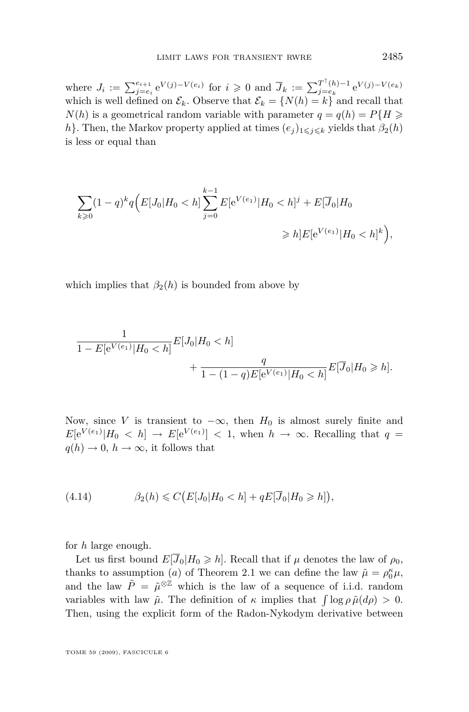<span id="page-17-0"></span>where  $J_i := \sum_{j=e_i}^{e_{i+1}} e^{V(j)-V(e_i)}$  for  $i \geq 0$  and  $\overline{J}_k := \sum_{j=e_k}^{T^{\uparrow}(h)-1}$  $j=e_k$   $j=e_k$ which is well defined on  $\mathcal{E}_k$ . Observe that  $\mathcal{E}_k = \{N(h) = k\}$  and recall that  $N(h)$  is a geometrical random variable with parameter  $q = q(h) = P\{H \geq 0\}$ *h*<sup>}</sup>*.* Then, the Markov property applied at times  $(e_j)_{1 \leq j \leq k}$  yields that  $\beta_2(h)$ is less or equal than

$$
\sum_{k\geqslant 0} (1-q)^k q \Big( E[J_0|H_0 < h] \sum_{j=0}^{k-1} E[e^{V(e_1)}|H_0 < h]^j + E[\overline{J}_0|H_0] \Big) \geqslant h] E[e^{V(e_1)}|H_0 < h]^k \Big),
$$

which implies that  $\beta_2(h)$  is bounded from above by

$$
\frac{1}{1 - E[e^{V(e_1)}|H_0 < h]} E[J_0|H_0 < h]
$$
  
+ 
$$
\frac{q}{1 - (1 - q)E[e^{V(e_1)}|H_0 < h]} E[\overline{J}_0|H_0 \ge h].
$$

Now, since *V* is transient to  $-\infty$ , then  $H_0$  is almost surely finite and  $E[e^{V(e_1)}|H_0 \le h] \rightarrow E[e^{V(e_1)}] \le 1$ , when  $h \rightarrow \infty$ . Recalling that  $q =$  $q(h) \to 0$ ,  $h \to \infty$ , it follows that

$$
(4.14) \qquad \qquad \beta_2(h) \leqslant C\big(E[J_0|H_0 < h] + qE[\overline{J}_0|H_0 \geqslant h]\big),
$$

for *h* large enough.

Let us first bound  $E[\overline{J}_0|H_0 \geq h]$ . Recall that if  $\mu$  denotes the law of  $\rho_0$ , thanks to assumption (*a*) of Theorem [2.1](#page-4-0) we can define the law  $\tilde{\mu} = \rho_0^{\kappa} \mu$ , and the law  $\tilde{P} = \tilde{\mu}^{\otimes \mathbb{Z}}$  which is the law of a sequence of i.i.d. random variables with law  $\tilde{\mu}$ . The definition of  $\kappa$  implies that  $\int \log \rho \tilde{\mu}(d\rho) > 0$ . Then, using the explicit form of the Radon-Nykodym derivative between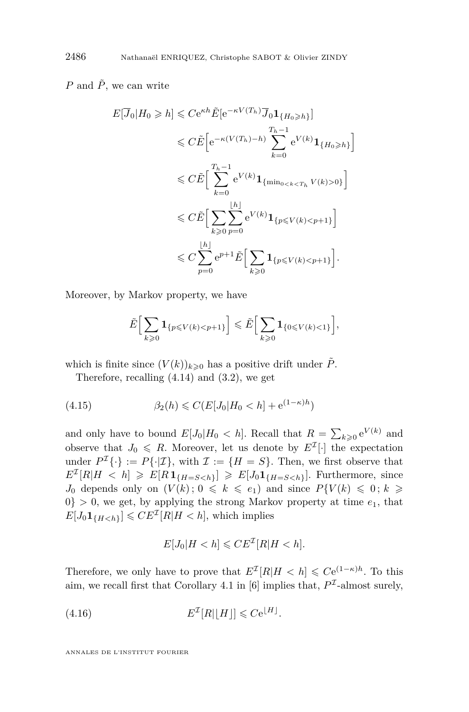<span id="page-18-0"></span>*P* and  $\tilde{P}$ , we can write

$$
E[\overline{J}_0|H_0 \ge h] \le Ce^{\kappa h} \tilde{E}[e^{-\kappa V(T_h)} \overline{J}_0 \mathbf{1}_{\{H_0 \ge h\}}]
$$
  
\n
$$
\le C \tilde{E}\Big[e^{-\kappa (V(T_h) - h)} \sum_{k=0}^{T_{h-1}} e^{V(k)} \mathbf{1}_{\{H_0 \ge h\}}\Big]
$$
  
\n
$$
\le C \tilde{E}\Big[\sum_{k=0}^{T_{h-1}} e^{V(k)} \mathbf{1}_{\{\min_{0 \le k < T_h} V(k) > 0\}}\Big]
$$
  
\n
$$
\le C \tilde{E}\Big[\sum_{k\ge 0} \sum_{p=0}^{\lfloor h \rfloor} e^{V(k)} \mathbf{1}_{\{p \le V(k) < p+1\}}\Big]
$$
  
\n
$$
\le C \sum_{p=0}^{\lfloor h \rfloor} e^{p+1} \tilde{E}\Big[\sum_{k\ge 0} \mathbf{1}_{\{p \le V(k) < p+1\}}\Big].
$$

Moreover, by Markov property, we have

$$
\tilde{E}\Big[\sum_{k\geqslant 0}\mathbf{1}_{\{p\leqslant V(k)
$$

which is finite since  $(V(k))_{k\geqslant 0}$  has a positive drift under  $\tilde{P}$ .

Therefore, recalling [\(4.14\)](#page-17-0) and [\(3.2\)](#page-6-0), we get

(4.15) 
$$
\beta_2(h) \leq C(E[J_0]H_0 < h] + e^{(1-\kappa)h})
$$

and only have to bound  $E[J_0|H_0 \lt h]$ . Recall that  $R = \sum_{k \geq 0} e^{V(k)}$  and observe that  $J_0 \le R$ . Moreover, let us denote by  $E^{\mathcal{I}}[\cdot]$  the expectation under  $P^{I}\{\cdot\} := P\{\cdot|\mathcal{I}\}\$ , with  $\mathcal{I} := \{H = S\}$ . Then, we first observe that  $E^{\mathcal{I}}[R|H \leq h] \geqslant E[R \mathbf{1}_{\{H=S. Furthermore, since$ *J*<sub>0</sub> depends only on  $(V(k); 0 \leq k \leq e_1)$  and since  $P\{V(k) \leq 0; k \geq 0\}$  $0$ } > 0, we get, by applying the strong Markov property at time  $e_1$ , that  $E[J_0 \mathbf{1}_{\{H < h\}}] \leqslant C E^{\mathcal{I}}[R|H < h]$ , which implies

$$
E[J_0|H < h] \leqslant C E^{\mathcal{I}}[R|H < h].
$$

Therefore, we only have to prove that  $E^{\mathcal{I}}[R|H \leq h] \leq C e^{(1-\kappa)h}$ . To this aim, we recall first that Corollary 4.1 in [\[6\]](#page-39-0) implies that,  $P<sup>\mathcal{I}</sup>$ -almost surely,

$$
(4.16) \t\t\t\t E^{\mathcal{I}}[R|\lfloor H \rfloor] \leqslant Ce^{\lfloor H \rfloor}.
$$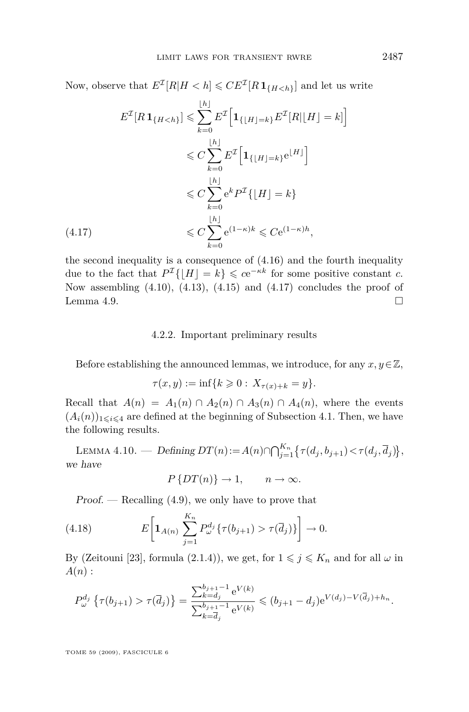<span id="page-19-0"></span>Now, observe that  $E^{\mathcal{I}}[R|H < h] \leqslant CE^{\mathcal{I}}[R\mathbf{1}_{\{H < h\}}]$  and let us write

$$
E^{T}[R \mathbf{1}_{\{H  

$$
\leqslant C \sum_{k=0}^{\lfloor h \rfloor} E^{T} \Big[ \mathbf{1}_{\{\lfloor H \rfloor = k\}} e^{\lfloor H \rfloor} \Big]
$$
  

$$
\leqslant C \sum_{k=0}^{\lfloor h \rfloor} e^{k} P^{T} \{ \lfloor H \rfloor = k \}
$$
  
(4.17)  

$$
\leqslant C \sum_{k=0}^{\lfloor h \rfloor} e^{(1-\kappa)k} \leqslant C e^{(1-\kappa)h},
$$
$$

the second inequality is a consequence of [\(4.16\)](#page-18-0) and the fourth inequality due to the fact that  $P^{\mathcal{I}}\{|H| = k\} \leqslant ce^{-\kappa k}$  for some positive constant *c*. Now assembling  $(4.10)$ ,  $(4.13)$ ,  $(4.15)$  and  $(4.17)$  concludes the proof of Lemma [4.9.](#page-15-0)

#### 4.2.2. Important preliminary results

Before establishing the announced lemmas, we introduce, for any  $x, y \in \mathbb{Z}$ ,

$$
\tau(x, y) := \inf \{ k \geq 0 : X_{\tau(x) + k} = y \}.
$$

Recall that  $A(n) = A_1(n) \cap A_2(n) \cap A_3(n) \cap A_4(n)$ , where the events  $(A_i(n))_{1 \leq i \leq 4}$  are defined at the beginning of Subsection [4.1.](#page-10-0) Then, we have the following results.

LEMMA 4.10. — Defining  $DT(n) := A(n) \cap \bigcap_{j=1}^{K_n} \{ \tau(d_j, b_{j+1}) \lt \tau(d_j, \overline{d}_j) \},$ we have

$$
P\left\{DT(n)\right\} \to 1, \qquad n \to \infty.
$$

 $Proof.$  — Recalling  $(4.9)$ , we only have to prove that

(4.18) 
$$
E\left[\mathbf{1}_{A(n)}\sum_{j=1}^{K_n}P_{\omega}^{d_j}\{\tau(b_{j+1})>\tau(\overline{d}_j)\}\right]\to 0.
$$

By (Zeitouni [\[23\]](#page-40-0), formula (2.1.4)), we get, for  $1 \leq j \leq K_n$  and for all  $\omega$  in *A*(*n*) :

$$
P_{\omega}^{d_j} \left\{ \tau(b_{j+1}) > \tau(\overline{d}_j) \right\} = \frac{\sum_{k=d_j}^{b_{j+1}-1} e^{V(k)}}{\sum_{k=\overline{d}_j}^{b_{j+1}-1} e^{V(k)}} \leqslant (b_{j+1}-d_j) e^{V(d_j)-V(\overline{d}_j)+h_n}.
$$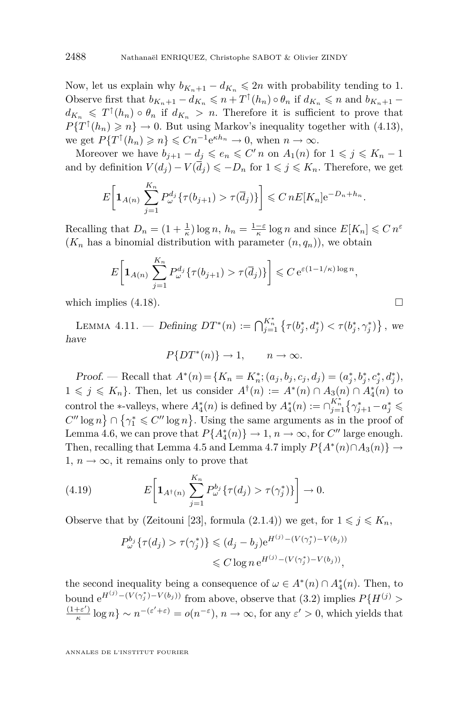<span id="page-20-0"></span>Now, let us explain why  $b_{K_n+1} - d_{K_n} \leq 2n$  with probability tending to 1. Observe first that  $b_{K_n+1} - d_{K_n} \leqslant n + T^{\uparrow}(h_n) \circ \theta_n$  if  $d_{K_n} \leqslant n$  and  $b_{K_n+1}$  $d_{K_n} \leq T^{\uparrow}(h_n) \circ \theta_n$  if  $d_{K_n} > n$ . Therefore it is sufficient to prove that  $P\{T^{\uparrow}(h_n) \geq n\} \to 0$ . But using Markov's inequality together with [\(4.13\)](#page-16-0), we get  $P\{T^{\uparrow}(h_n) \geq n\} \leq Cn^{-1}e^{\kappa h_n} \to 0$ , when  $n \to \infty$ .

Moreover we have  $b_{j+1} - d_j \leqslant e_n \leqslant C'n$  on  $A_1(n)$  for  $1 \leqslant j \leqslant K_n - 1$ and by definition  $V(d_i) - V(\overline{d}_i) \leqslant -D_n$  for  $1 \leqslant j \leqslant K_n$ . Therefore, we get

$$
E\bigg[{\bf 1}_{A(n)}\sum_{j=1}^{K_n}P_{\omega}^{d_j}\{\tau(b_{j+1})>\tau(\overline{d}_j)\}\bigg] \leqslant C\,nE[K_n]e^{-D_n+h_n}.
$$

Recalling that  $D_n = (1 + \frac{1}{\kappa}) \log n$ ,  $h_n = \frac{1 - \varepsilon}{\kappa} \log n$  and since  $E[K_n] \leq C n^{\varepsilon}$  $(K_n$  has a binomial distribution with parameter  $(n, q_n)$ , we obtain

$$
E\bigg[{\bf 1}_{A(n)}\sum_{j=1}^{K_n}P_{\omega}^{d_j}\{\tau(b_{j+1})>\tau(\overline{d}_j)\}\bigg]\leqslant C\,\mathrm{e}^{\varepsilon(1-1/\kappa)\log n},
$$

which implies  $(4.18)$ .

LEMMA 4.11. — Defining  $DT^*(n) := \bigcap_{j=1}^{K_n^*} \{ \tau(b_j^*, d_j^*) < \tau(b_j^*, \gamma_j^*) \},$  we have

$$
P\{DT^*(n)\} \to 1, \qquad n \to \infty.
$$

Proof. — Recall that  $A^*(n) = \{K_n = K_n^*; (a_j, b_j, c_j, d_j) = (a_j^*, b_j^*, c_j^*, d_j^*),\}$  $1 \leq j \leq K_n$ . Then, let us consider  $A^{\dagger}(n) := A^*(n) \cap A_3(n) \cap A_4^*(n)$  to control the *\**-valleys, where  $A_4^*(n)$  is defined by  $A_4^*(n) := \bigcap_{j=1}^{K_n^*} \left\{ \gamma_{j+1}^* - a_j^* \leq \right\}$  $C''$  log  $n$   $\}$   $\cap$   $\{\gamma_1^* \leq C''$  log  $n\}$ . Using the same arguments as in the proof of Lemma [4.6,](#page-12-0) we can prove that  $P{A_4^*(n)} \rightarrow 1, n \rightarrow \infty$ , for  $C''$  large enough. Then, recalling that Lemma [4.5](#page-12-0) and Lemma [4.7](#page-14-0) imply  $P{A^*(n) \cap A_3(n)} \rightarrow$ 1,  $n \to \infty$ , it remains only to prove that

(4.19) 
$$
E\left[\mathbf{1}_{A^{\dagger}(n)}\sum_{j=1}^{K_n}P_{\omega}^{b_j}\{\tau(d_j)>\tau(\gamma_j^*)\}\right]\to 0.
$$

Observe that by (Zeitouni [\[23\]](#page-40-0), formula (2.1.4)) we get, for  $1 \leq j \leq K_n$ ,

$$
P_{\omega}^{b_j} \{ \tau(d_j) > \tau(\gamma_j^*) \} \leq (d_j - b_j) e^{H^{(j)} - (V(\gamma_j^*) - V(b_j))}
$$
  

$$
\leq C \log n e^{H^{(j)} - (V(\gamma_j^*) - V(b_j))},
$$

the second inequality being a consequence of  $\omega \in A^*(n) \cap A_4^*(n)$ . Then, to bound  $e^{H^{(j)} - (V(\gamma_j^*) - V(b_j))}$  from above, observe that [\(3.2\)](#page-6-0) implies  $P\{H^{(j)} >$  $(1+\varepsilon')$  $\frac{f(e')}{g}$  log  $n$ } ~  $n^{-(\varepsilon' + \varepsilon)} = o(n^{-\varepsilon}), n \to \infty$ , for any  $\varepsilon' > 0$ , which yields that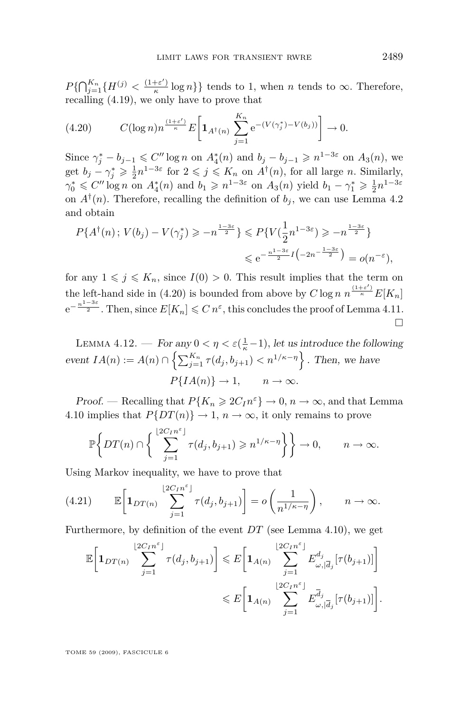<span id="page-21-0"></span> $P\{\bigcap_{j=1}^{K_n} \{H^{(j)} < \frac{(1+\varepsilon')}{\kappa}\}$  $\left\{\frac{+e^{-t}}{k}\right\}$  log *n*<sup>}</sup>} tends to 1, when *n* tends to  $\infty$ . Therefore, recalling [\(4.19\)](#page-20-0), we only have to prove that

$$
(4.20) \t C(\log n)n^{\frac{(1+\varepsilon')}{\kappa}} E\bigg[{\bf 1}_{A^{\dagger}(n)}\sum_{j=1}^{K_n} e^{-(V(\gamma_j^*)-V(b_j))}\bigg] \to 0.
$$

Since  $\gamma_j^* - b_{j-1} \leq C'' \log n$  on  $A_4^*(n)$  and  $b_j - b_{j-1} \geq n^{1-3\varepsilon}$  on  $A_3(n)$ , we get  $b_j - \gamma_j^* \geq \frac{1}{2} n^{1-3\varepsilon}$  for  $2 \leq j \leq K_n$  on  $A^{\dagger}(n)$ , for all large *n*. Similarly,  $\gamma_0^* \leq C'' \log n$  on  $A_4^*(n)$  and  $b_1 \geq n^{1-3\varepsilon}$  on  $A_3(n)$  yield  $b_1 - \gamma_1^* \geq \frac{1}{2} n^{1-3\varepsilon}$ on  $A^{\dagger}(n)$ . Therefore, recalling the definition of  $b_j$ , we can use Lemma [4.2](#page-10-0) and obtain

$$
P\{A^{\dagger}(n); V(b_j) - V(\gamma_j^*) \geqslant -n^{\frac{1-3\varepsilon}{2}}\} \leqslant P\{V(\frac{1}{2}n^{1-3\varepsilon}) \geqslant -n^{\frac{1-3\varepsilon}{2}}\}
$$
  

$$
\leqslant e^{-\frac{n^{1-3\varepsilon}}{2}I\left(-2n^{-\frac{1-3\varepsilon}{2}}\right)} = o(n^{-\varepsilon}),
$$

for any  $1 \leq j \leq K_n$ , since  $I(0) > 0$ . This result implies that the term on the left-hand side in (4.20) is bounded from above by  $C \log n \frac{1 + \varepsilon'}{n} E[K_n]$  $e^{-\frac{n^{1-3\varepsilon}}{2}}$ . Then, since  $E[K_n] \leqslant C n^{\varepsilon}$ , this concludes the proof of Lemma [4.11.](#page-20-0)  $\Box$ 

LEMMA 4.12. — For any  $0 < \eta < \varepsilon(\frac{1}{\kappa} - 1)$ , let us introduce the following event  $IA(n) := A(n) \cap \left\{ \sum_{j=1}^{K_n} \tau(d_j, b_{j+1}) < n^{1/\kappa - \eta} \right\}$ . Then, we have  $P{I_A(n)} \rightarrow 1, \quad n \rightarrow \infty.$ 

Proof. — Recalling that  $P{K_n \ge 2C_I n^{\varepsilon}} \to 0, n \to \infty$ , and that Lemma [4.10](#page-19-0) implies that  $P\{DT(n)\}\to 1$ ,  $n\to\infty$ , it only remains to prove

$$
\mathbb{P}\bigg\{DT(n)\cap\bigg\{\sum_{j=1}^{\lfloor 2C_1n^{\varepsilon}\rfloor}\tau(d_j,b_{j+1})\geqslant n^{1/\kappa-\eta}\bigg\}\bigg\}\to 0,\qquad n\to\infty.
$$

Using Markov inequality, we have to prove that

(4.21) 
$$
\mathbb{E}\left[\mathbf{1}_{DT(n)}\sum_{j=1}^{\lfloor 2C_1n^{\varepsilon}\rfloor}\tau(d_j,b_{j+1})\right]=o\left(\frac{1}{n^{1/\kappa-\eta}}\right), \qquad n\to\infty.
$$

Furthermore, by definition of the event *DT* (see Lemma [4.10\)](#page-19-0), we get

$$
\mathbb{E}\left[\mathbf{1}_{DT(n)}\sum_{j=1}^{\lfloor 2C_{I}n^{\varepsilon}\rfloor}\tau(d_{j},b_{j+1})\right] \leqslant E\left[\mathbf{1}_{A(n)}\sum_{j=1}^{\lfloor 2C_{I}n^{\varepsilon}\rfloor}E_{\omega,|\overline{d}_{j}}^{d_{j}}[\tau(b_{j+1})]\right]
$$

$$
\leqslant E\left[\mathbf{1}_{A(n)}\sum_{j=1}^{\lfloor 2C_{I}n^{\varepsilon}\rfloor}E_{\omega,|\overline{d}_{j}}^{\overline{d}_{j}}[\tau(b_{j+1})]\right].
$$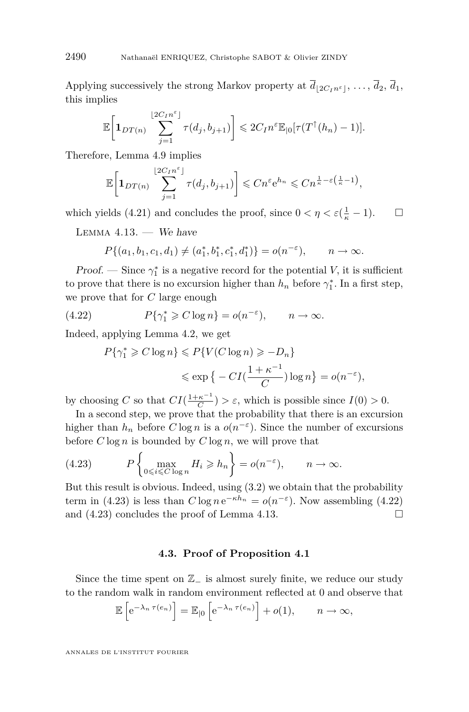Applying successively the strong Markov property at  $\overline{d}_{2C_{I}n^{\epsilon}}$ , ...,  $\overline{d}_{2}$ ,  $\overline{d}_{1}$ , this implies

$$
\mathbb{E}\bigg[\mathbf{1}_{DT(n)}\sum_{j=1}^{\lfloor 2C_1n^{\varepsilon}\rfloor}\tau(d_j,b_{j+1})\bigg] \leqslant 2C_1n^{\varepsilon}\mathbb{E}_{\lfloor 0}[\tau(T^{\uparrow}(h_n)-1)].
$$

Therefore, Lemma [4.9](#page-15-0) implies

$$
\mathbb{E}\bigg[\mathbf{1}_{DT(n)}\sum_{j=1}^{\lfloor 2C_1n^{\varepsilon}\rfloor}\tau(d_j,b_{j+1})\bigg]\leqslant Cn^{\varepsilon}e^{h_n}\leqslant Cn^{\frac{1}{\kappa}-\varepsilon\left(\frac{1}{\kappa}-1\right)},
$$

which yields [\(4.21\)](#page-21-0) and concludes the proof, since  $0 < \eta < \varepsilon \left(\frac{1}{\kappa} - 1\right)$ .  $\Box$ 

LEMMA  $4.13.$  - We have

$$
P\{(a_1, b_1, c_1, d_1) \neq (a_1^*, b_1^*, c_1^*, d_1^*)\} = o(n^{-\varepsilon}), \qquad n \to \infty.
$$

**Proof.** — Since  $\gamma_1^*$  is a negative record for the potential *V*, it is sufficient to prove that there is no excursion higher than  $h_n$  before  $\gamma_1^*$ . In a first step, we prove that for *C* large enough

(4.22) 
$$
P\{\gamma_1^* \geq C \log n\} = o(n^{-\varepsilon}), \qquad n \to \infty.
$$

Indeed, applying Lemma [4.2,](#page-10-0) we get

$$
P\{\gamma_1^* \ge C \log n\} \le P\{V(C \log n) \ge -D_n\}
$$
  
\$\le \exp \{-C I(\frac{1+\kappa^{-1}}{C}) \log n\} = o(n^{-\varepsilon}),\$

by choosing *C* so that  $CI(\frac{1+\kappa^{-1}}{C})$  $\left(\frac{\kappa}{C}\right) > \varepsilon$ , which is possible since  $I(0) > 0$ .

In a second step, we prove that the probability that there is an excursion higher than  $h_n$  before  $C \log n$  is a  $o(n^{-\epsilon})$ . Since the number of excursions before  $C \log n$  is bounded by  $C \log n$ , we will prove that

(4.23) 
$$
P\left\{\max_{0\leqslant i\leqslant C\log n}H_i\geqslant h_n\right\}=o(n^{-\varepsilon}),\qquad n\to\infty.
$$

But this result is obvious. Indeed, using [\(3.2\)](#page-6-0) we obtain that the probability term in (4.23) is less than  $C \log n e^{-\kappa h_n} = o(n^{-\varepsilon})$ . Now assembling (4.22) and  $(4.23)$  concludes the proof of Lemma 4.13.

#### **4.3. Proof of Proposition [4.1](#page-10-0)**

Since the time spent on Z*<sup>−</sup>* is almost surely finite, we reduce our study to the random walk in random environment reflected at 0 and observe that

$$
\mathbb{E}\left[e^{-\lambda_n \tau(e_n)}\right] = \mathbb{E}_{|0}\left[e^{-\lambda_n \tau(e_n)}\right] + o(1), \quad n \to \infty,
$$

<span id="page-22-0"></span>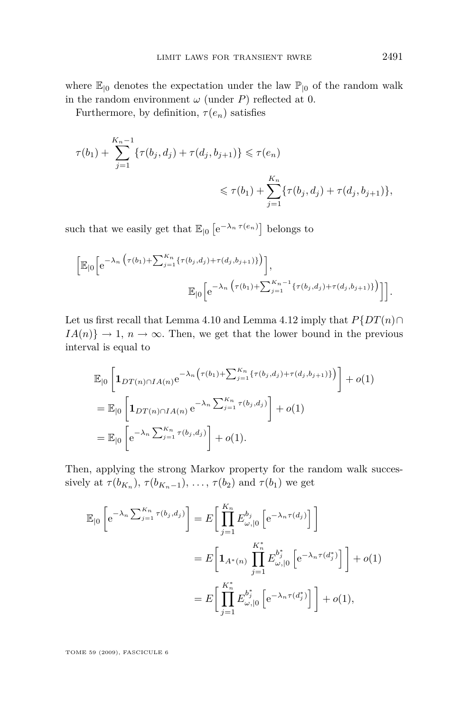where  $\mathbb{E}_{\vert 0}$  denotes the expectation under the law  $\mathbb{P}_{\vert 0}$  of the random walk in the random environment  $\omega$  (under *P*) reflected at 0.

Furthermore, by definition,  $\tau(e_n)$  satisfies

$$
\tau(b_1) + \sum_{j=1}^{K_n - 1} \{\tau(b_j, d_j) + \tau(d_j, b_{j+1})\} \le \tau(e_n)
$$
  

$$
\le \tau(b_1) + \sum_{j=1}^{K_n} \{\tau(b_j, d_j) + \tau(d_j, b_{j+1})\},
$$

such that we easily get that  $\mathbb{E}_{\vert 0} \left[ e^{-\lambda_n \tau(e_n)} \right]$  belongs to

$$
\left[\mathbb{E}_{|0}\left[e^{-\lambda_n\left(\tau(b_1)+\sum_{j=1}^{K_n}\{\tau(b_j,d_j)+\tau(d_j,b_{j+1})\}\right)}\right],\right] \mathbb{E}_{|0}\left[e^{-\lambda_n\left(\tau(b_1)+\sum_{j=1}^{K_n-1}\{\tau(b_j,d_j)+\tau(d_j,b_{j+1})\}\right)}\right]\right].
$$

Let us first recall that Lemma [4.10](#page-19-0) and Lemma [4.12](#page-21-0) imply that  $P\{DT(n) \cap \}$  $IA(n)$ }  $\rightarrow$  1*, n*  $\rightarrow \infty$ *.* Then, we get that the lower bound in the previous interval is equal to

$$
\mathbb{E}_{|0}\left[\mathbf{1}_{DT(n)\cap IA(n)}e^{-\lambda_n\left(\tau(b_1)+\sum_{j=1}^{K_n}\{\tau(b_j,d_j)+\tau(d_j,b_{j+1})\}\right)}\right]+o(1)
$$
\n
$$
=\mathbb{E}_{|0}\left[\mathbf{1}_{DT(n)\cap IA(n)}e^{-\lambda_n\sum_{j=1}^{K_n}\tau(b_j,d_j)}\right]+o(1)
$$
\n
$$
=\mathbb{E}_{|0}\left[e^{-\lambda_n\sum_{j=1}^{K_n}\tau(b_j,d_j)}\right]+o(1).
$$

Then, applying the strong Markov property for the random walk successively at  $\tau(b_{K_n}), \tau(b_{K_n-1}), \ldots, \tau(b_2)$  and  $\tau(b_1)$  we get

$$
\mathbb{E}_{\vert 0} \left[ e^{-\lambda_n \sum_{j=1}^{K_n} \tau(b_j, d_j)} \right] = E \left[ \prod_{j=1}^{K_n} E_{\omega, \vert 0}^{b_j} \left[ e^{-\lambda_n \tau(d_j)} \right] \right]
$$
  

$$
= E \left[ \mathbf{1}_{A^*(n)} \prod_{j=1}^{K_n^*} E_{\omega, \vert 0}^{b_j^*} \left[ e^{-\lambda_n \tau(d_j^*)} \right] \right] + o(1)
$$
  

$$
= E \left[ \prod_{j=1}^{K_n^*} E_{\omega, \vert 0}^{b_j^*} \left[ e^{-\lambda_n \tau(d_j^*)} \right] \right] + o(1),
$$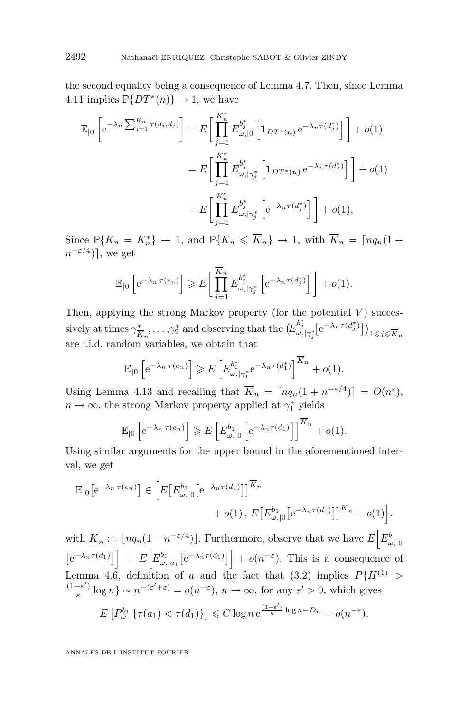the second equality being a consequence of Lemma [4.7.](#page-14-0) Then, since Lemma [4.11](#page-20-0) implies  $\mathbb{P}\lbrace DT^*(n)\rbrace \to 1$ , we have

$$
\mathbb{E}_{|0}\left[e^{-\lambda_n \sum_{j=1}^{K_n} \tau(b_j, d_j)}\right] = E\left[\prod_{j=1}^{K_n^*} E_{\omega, |0}^{b_j^*} \left[\mathbf{1}_{DT^*(n)} e^{-\lambda_n \tau(d_j^*)}\right]\right] + o(1)
$$
  
\n
$$
= E\left[\prod_{j=1}^{K_n^*} E_{\omega, |\gamma_j^*}^{b_j^*} \left[\mathbf{1}_{DT^*(n)} e^{-\lambda_n \tau(d_j^*)}\right]\right] + o(1)
$$
  
\n
$$
= E\left[\prod_{j=1}^{K_n^*} E_{\omega, |\gamma_j^*}^{b_j^*} \left[e^{-\lambda_n \tau(d_j^*)}\right]\right] + o(1),
$$

Since  $\mathbb{P}\{K_n = K_n^*\} \to 1$ , and  $\mathbb{P}\{K_n \leq \overline{K}_n\} \to 1$ , with  $\overline{K}_n = \lceil n q_n(1 +$  $n^{-\varepsilon/4}$ ), we get

$$
\mathbb{E}_{|0}\left[e^{-\lambda_n \tau(e_n)}\right] \geqslant E\left[\prod_{j=1}^{\overline{K}_n} E_{\omega, |\gamma_j^*}^{b_j^*}\left[e^{-\lambda_n \tau(d_j^*)}\right]\right] + o(1).
$$

Then, applying the strong Markov property (for the potential  $V$ ) successively at times  $\gamma^*_{\overline{k}}$  $(\overline{K}_n, \dots, \gamma_2^*)$  and observing that the  $(E_{\omega, |\gamma_j^*}^{b_j^*} [e^{-\lambda_n \tau(d_j^*)}])_{1 \leq j \leq \overline{K}_n}$ are i.i.d. random variables, we obtain that

$$
\mathbb{E}_{|0}\left[e^{-\lambda_n \tau(e_n)}\right] \geqslant E\left[E_{\omega,|\gamma_1^*}^{b_1^*}e^{-\lambda_n \tau(d_1^*)}\right]^{\overline{K}_n}+o(1).
$$

Using Lemma [4.13](#page-22-0) and recalling that  $\overline{K}_n = \lfloor nq_n(1 + n^{-\epsilon/4}) \rfloor = O(n^{\epsilon}),$  $n \to \infty$ , the strong Markov property applied at  $\gamma_1^*$  yields

$$
\mathbb{E}_{|0}\left[e^{-\lambda_n \tau(e_n)}\right] \geqslant E\left[E_{\omega,|0}^{b_1}\left[e^{-\lambda_n \tau(d_1)}\right]\right]^{\overline{K}_n} + o(1).
$$

Using similar arguments for the upper bound in the aforementioned interval, we get

$$
\mathbb{E}_{|0}\left[e^{-\lambda_n \tau(e_n)}\right] \in \left[E\left[E^{\mathfrak{b}_1}_{\omega,|0}\left[e^{-\lambda_n \tau(d_1)}\right]\right]^{\overline{K}_n} + o(1), E\left[E^{\mathfrak{b}_1}_{\omega,|0}\left[e^{-\lambda_n \tau(d_1)}\right]\right]^{\underline{K}_n} + o(1)\right].
$$

with  $\underline{K}_n := \lfloor nq_n(1 - n^{-\varepsilon/4}) \rfloor$ . Furthermore, observe that we have  $E\left[E_{\omega, \vert 0}^{b_1}\right]$  $\left[e^{-\lambda_n \tau(d_1)}\right] = E\left[E_{\omega,|a_1}^{b_1}\left[e^{-\lambda_n \tau(d_1)}\right]\right] + o(n^{-\varepsilon}).$  This is a consequence of Lemma [4.6,](#page-12-0) definition of *a* and the fact that [\(3.2\)](#page-6-0) implies  $P{H^{(1)}} >$  $(1+\varepsilon')$  $\frac{f(e')}{g}$  log  $n$ } ~  $n^{-(\varepsilon' + \varepsilon)} = o(n^{-\varepsilon})$ ,  $n \to \infty$ , for any  $\varepsilon' > 0$ , which gives  $E[P_\omega^{b_1}\{\tau(a_1) < \tau(d_1)\}] \leqslant C \log n e^{\frac{(1+\varepsilon')}{\kappa} \log n - D_n} = o(n^{-\varepsilon}).$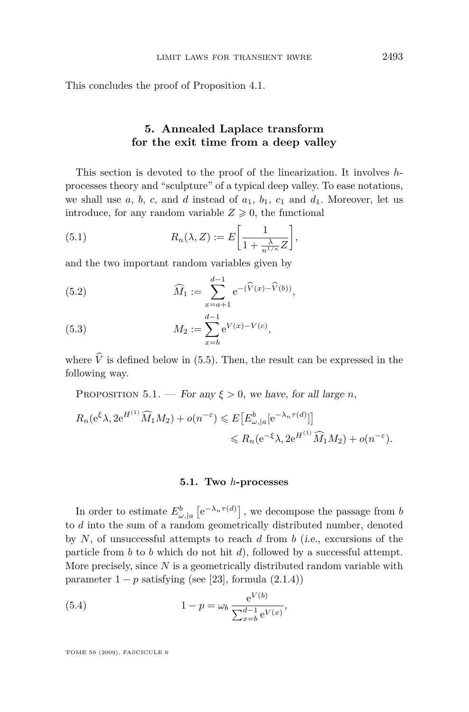<span id="page-25-0"></span>This concludes the proof of Proposition [4.1.](#page-10-0)

### **5. Annealed Laplace transform for the exit time from a deep valley**

This section is devoted to the proof of the linearization. It involves *h*processes theory and "sculpture" of a typical deep valley. To ease notations, we shall use  $a, b, c,$  and  $d$  instead of  $a_1, b_1, c_1$  and  $d_1$ . Moreover, let us introduce, for any random variable  $Z \geqslant 0$ , the functional

(5.1) 
$$
R_n(\lambda, Z) := E\bigg[\frac{1}{1 + \frac{\lambda}{n^{1/\kappa}}Z}\bigg],
$$

and the two important random variables given by

(5.2) 
$$
\widehat{M}_1 := \sum_{x=a+1}^{d-1} e^{-(\widehat{V}(x) - \widehat{V}(b))},
$$

(5.3) 
$$
M_2 := \sum_{x=b}^{d-1} e^{V(x)-V(c)},
$$

where  $\hat{V}$  is defined below in [\(5.5\)](#page-26-0). Then, the result can be expressed in the following way.

PROPOSITION 5.1. — For any  $\xi > 0$ , we have, for all large *n*,

$$
R_n(e^{\xi}\lambda, 2e^{H^{(1)}}\widehat{M}_1M_2) + o(n^{-\varepsilon}) \leqslant E\big[E^b_{\omega,|a}[e^{-\lambda_n \tau(d)}]\big] \leqslant R_n(e^{-\xi}\lambda, 2e^{H^{(1)}}\widehat{M}_1M_2) + o(n^{-\varepsilon}).
$$

#### **5.1. Two** *h***-processes**

In order to estimate  $E^b_{\omega, |a}$   $[e^{-\lambda_n \tau(d)}]$ , we decompose the passage from *b* to *d* into the sum of a random geometrically distributed number, denoted by *N*, of unsuccessful attempts to reach *d* from *b* (i.e., excursions of the particle from *b* to *b* which do not hit *d*), followed by a successful attempt. More precisely, since *N* is a geometrically distributed random variable with parameter  $1 - p$  satisfying (see [\[23\]](#page-40-0), formula  $(2.1.4)$ )

(5.4) 
$$
1 - p = \omega_b \frac{e^{V(b)}}{\sum_{x=b}^{d-1} e^{V(x)}},
$$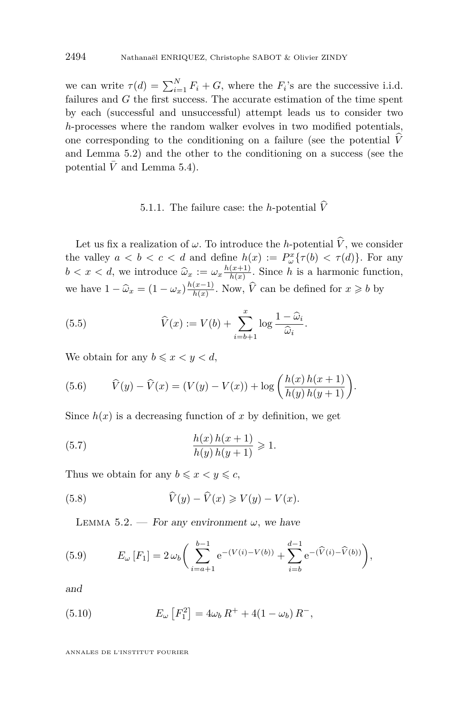<span id="page-26-0"></span>we can write  $\tau(d) = \sum_{i=1}^{N} F_i + G$ , where the  $F_i$ 's are the successive i.i.d. failures and *G* the first success. The accurate estimation of the time spent by each (successful and unsuccessful) attempt leads us to consider two *h*-processes where the random walker evolves in two modified potentials, one corresponding to the conditioning on a failure (see the potential  $\hat{V}$ and Lemma 5.2) and the other to the conditioning on a success (see the potential  $\bar{V}$  and Lemma [5.4\)](#page-29-0).

## 5.1.1. The failure case: the *h*-potential  $\hat{V}$

Let us fix a realization of  $\omega$ . To introduce the *h*-potential  $\widehat{V}$ , we consider the valley  $a < b < c < d$  and define  $h(x) := P_{\omega}^x {\tau(b) < \tau(d)}$ . For any  $b < x < d$ , we introduce  $\hat{\omega}_x := \omega_x \frac{h(x+1)}{h(x)}$  $\frac{(x+1)}{h(x)}$ . Since *h* is a harmonic function, we have  $1 - \hat{\omega}_x = (1 - \omega_x) \frac{h(x-1)}{h(x)}$  $\frac{(x-1)}{h(x)}$ . Now,  $\hat{V}$  can be defined for  $x \geq b$  by

(5.5) 
$$
\widehat{V}(x) := V(b) + \sum_{i=b+1}^{x} \log \frac{1-\widehat{\omega}_i}{\widehat{\omega}_i}.
$$

We obtain for any  $b \leq x < y < d$ ,

(5.6) 
$$
\hat{V}(y) - \hat{V}(x) = (V(y) - V(x)) + \log \left( \frac{h(x) h(x+1)}{h(y) h(y+1)} \right).
$$

Since  $h(x)$  is a decreasing function of x by definition, we get

(5.7) 
$$
\frac{h(x)h(x+1)}{h(y)h(y+1)} \geq 1.
$$

Thus we obtain for any  $b \leq x \leq y \leq c$ ,

(5.8) 
$$
\widehat{V}(y) - \widehat{V}(x) \geq V(y) - V(x).
$$

LEMMA 5.2. — For any environment  $\omega$ , we have

(5.9) 
$$
E_{\omega}[F_1] = 2 \omega_b \bigg( \sum_{i=a+1}^{b-1} e^{-(V(i)-V(b))} + \sum_{i=b}^{d-1} e^{-(\widehat{V}(i)-\widehat{V}(b))} \bigg),
$$

and

(5.10) 
$$
E_{\omega}\left[F_1^2\right] = 4\omega_b R^+ + 4(1 - \omega_b) R^-,
$$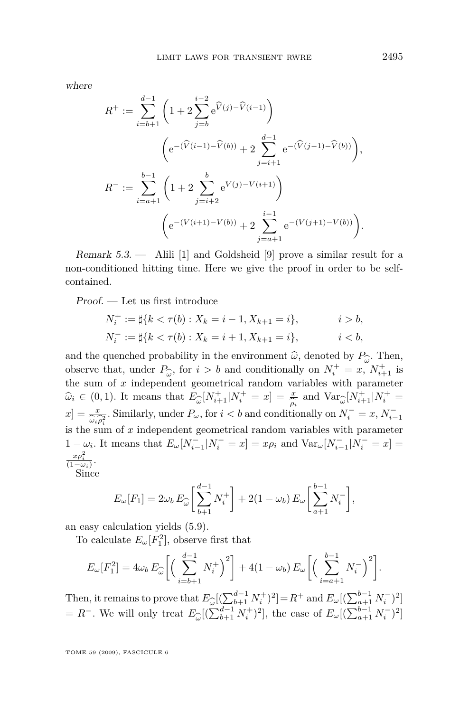where

$$
R^{+} := \sum_{i=b+1}^{d-1} \left( 1 + 2 \sum_{j=b}^{i-2} e^{\widehat{V}(j) - \widehat{V}(i-1)} \right)
$$

$$
\left( e^{-(\widehat{V}(i-1) - \widehat{V}(b))} + 2 \sum_{j=i+1}^{d-1} e^{-(\widehat{V}(j-1) - \widehat{V}(b))} \right),
$$

$$
R^{-} := \sum_{i=a+1}^{b-1} \left( 1 + 2 \sum_{j=i+2}^{b} e^{V(j) - V(i+1)} \right)
$$

$$
\left( e^{-(V(i+1) - V(b))} + 2 \sum_{j=a+1}^{i-1} e^{-(V(j+1) - V(b))} \right).
$$

Remark 5.3. — Alili [\[1\]](#page-38-0) and Goldsheid [\[9\]](#page-39-0) prove a similar result for a non-conditioned hitting time. Here we give the proof in order to be selfcontained.

Proof. — Let us first introduce

$$
N_i^+ := \sharp\{k < \tau(b) : X_k = i - 1, X_{k+1} = i\}, \qquad i > b,
$$
\n
$$
N_i^- := \sharp\{k < \tau(b) : X_k = i + 1, X_{k+1} = i\}, \qquad i < b,
$$

and the quenched probability in the environment  $\hat{\omega}$ , denoted by  $P_{\hat{\omega}}$ . Then, observe that, under  $P_{\hat{\omega}}$ , for  $i > b$  and conditionally on  $N^+ = x$ ,  $N^+$ , is observe that, under  $P_{\hat{\omega}}$ , for  $i > b$  and conditionally on  $N_i^+ = x$ ,  $N_{i+1}^+$  is bused by the sum of *x* independent geometrical random variables with parameter  $\hat{\omega}_i \in (0,1)$ *.* It means that  $E_{\hat{\omega}}[N_{i+1}^+|N_i^+ = x] = \frac{x}{\hat{\rho}_i}$  and  $\text{Var}_{\hat{\omega}}[N_{i+1}^+|N_i^+ = x] = x$  is similarly under *P* for  $i \leq k$  and conditionally on  $N^- = x$   $N^$  $x_i = (0, 1)$  is meanly that  $-\omega_i e^{i\omega_i} + 1 - i$   $\rho_i$  and  $\omega_i e^{i\omega_i} + 1 - i$   $\rho_i$ <br>  $x_j = \frac{x}{\omega_i \rho_i^2}$ . Similarly, under  $P_\omega$ , for  $i < b$  and conditionally on  $N_i^- = x$ ,  $N_{i-1}^$ is the sum of *x* independent geometrical random variables with parameter  $1 - \omega_i$ . It means that  $E_{\omega}[N_{i-1}^-|N_i^- = x] = x \rho_i$  and  $Var_{\omega}[N_{i-1}^-|N_i^- = x] =$  $x\rho_i^2$  $\frac{x\rho_i}{(1-\omega_i)}$ . Since

$$
E_{\omega}[F_1] = 2\omega_b E_{\widehat{\omega}} \bigg[ \sum_{b=1}^{d-1} N_i^+ \bigg] + 2(1 - \omega_b) E_{\omega} \bigg[ \sum_{a=1}^{d-1} N_i^- \bigg],
$$

an easy calculation yields [\(5.9\)](#page-26-0).

To calculate  $E_{\omega}[F_1^2]$ , observe first that

$$
E_{\omega}[F_1^2] = 4\omega_b E_{\widehat{\omega}} \left[ \left( \sum_{i=b+1}^{d-1} N_i^+ \right)^2 \right] + 4(1 - \omega_b) E_{\omega} \left[ \left( \sum_{i=a+1}^{b-1} N_i^- \right)^2 \right].
$$

Then, it remains to prove that  $E_{\widehat{\omega}}$ <br>=  $R^-$  We will only treat  $E_{\widehat{\omega}}$  ( $\Sigma$  $[(\sum_{b+1}^{d-1} N_i^+)^2] = R^+$  and  $E_{\omega}[(\sum_{a+1}^{b-1} N_i^-)^2]$  $= R^-$ *.* We will only treat  $E_{\hat{\omega}}$  $[(\sum_{b+1}^{d-1} N_i^+)^2]$ , the case of  $E_\omega[(\sum_{a+1}^{b-1} N_i^-)^2]$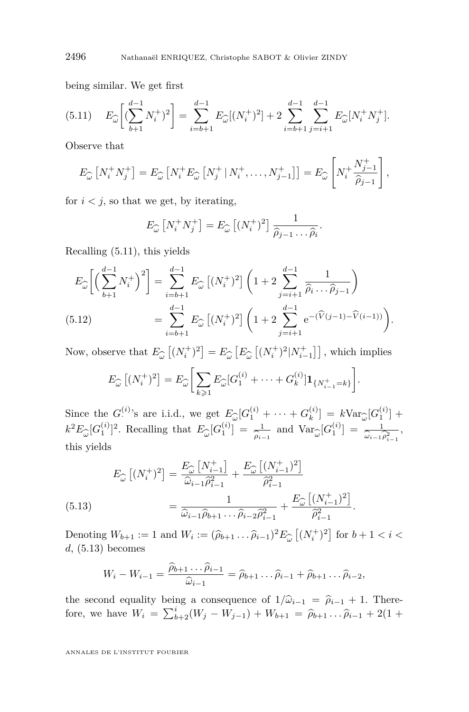being similar. We get first

$$
(5.11) \tE_{\widehat{\omega}}\left[ (\sum_{b+1}^{d-1} N_i^+)^2 \right] = \sum_{i=b+1}^{d-1} E_{\widehat{\omega}}[(N_i^+)^2] + 2 \sum_{i=b+1}^{d-1} \sum_{j=i+1}^{d-1} E_{\widehat{\omega}}[N_i^+ N_j^+].
$$

Observe that

$$
E_{\widehat{\omega}}\left[N_i^+N_j^+\right] = E_{\widehat{\omega}}\left[N_i^+E_{\widehat{\omega}}\left[N_j^+\mid N_i^+,\ldots,N_{j-1}^+\right]\right] = E_{\widehat{\omega}}\left[N_i^+\frac{N_{j-1}^+}{\widehat{\rho}_{j-1}}\right],
$$

for  $i < j$ , so that we get, by iterating,

$$
E_{\widehat{\omega}}\left[N_i^+N_j^+\right] = E_{\widehat{\omega}}\left[(N_i^+)^2\right] \frac{1}{\widehat{\rho}_{j-1}\dots\widehat{\rho}_i}
$$

*.*

Recalling (5.11), this yields

$$
E_{\widehat{\omega}}\left[\left(\sum_{b+1}^{d-1} N_i^+\right)^2\right] = \sum_{i=b+1}^{d-1} E_{\widehat{\omega}}\left[(N_i^+)^2\right] \left(1 + 2\sum_{j=i+1}^{d-1} \frac{1}{\widehat{\rho}_i \dots \widehat{\rho}_{j-1}}\right)
$$
  
(5.12) 
$$
= \sum_{i=b+1}^{d-1} E_{\widehat{\omega}}\left[(N_i^+)^2\right] \left(1 + 2\sum_{j=i+1}^{d-1} e^{-(\widehat{V}(j-1) - \widehat{V}(i-1))}\right).
$$

Now, observe that  $E_{\widehat{\omega}}[(N_i^+)^2] = E_{\widehat{\omega}}[E_{\widehat{\omega}}[(N_i^+)^2|N_{i-1}^+]]$ , which implies

$$
E_{\widehat{\omega}}\left[ (N_i^+)^2 \right] = E_{\widehat{\omega}} \bigg[ \sum_{k \geqslant 1} E_{\widehat{\omega}}[G_1^{(i)} + \cdots + G_k^{(i)}] \mathbf{1}_{\{N_{i-1}^+ = k\}} \bigg].
$$

Since the  $G^{(i)}$ 's are i.i.d., we get  $E_{\widehat{\omega}}[G_1^{(i)} + \cdots + G_k^{(i)}]$ bin vialds<br>  $k^2 E_{\widehat{\omega}}[G_1^{(i)}]^2$ . Recalling that  $E_{\widehat{\omega}}[G_1^{(i)}] = \frac{1}{\widehat{\rho}_{i-1}}$  and  $\text{Var}_{\widehat{\omega}}[G_1^{(i)}] = \frac{1}{\widehat{\omega}_{i-1}}$  $k^{(i)}$ ] =  $k \text{Var}_{\hat{\omega}}[G_1^{(i)}]$  +  $\frac{1}{\hat{\rho}_{i-1}}$  and  $\text{Var}_{\hat{\omega}}[G_1^{(i)}] = \frac{1}{\hat{\omega}_{i-1}}$  $\frac{1}{\omega_{i-1}\hat{\rho}_{i-1}^2}$ this yields

$$
E_{\widehat{\omega}}\left[ (N_i^+)^2 \right] = \frac{E_{\widehat{\omega}}\left[ N_{i-1}^+ \right]}{\widehat{\omega}_{i-1}\widehat{\rho}_{i-1}^2} + \frac{E_{\widehat{\omega}}\left[ (N_{i-1}^+)^2 \right]}{\widehat{\rho}_{i-1}^2}
$$
  
(5.13)  

$$
= \frac{1}{\widehat{\omega}_{i-1}\widehat{\rho}_{b+1}\dots\widehat{\rho}_{i-2}\widehat{\rho}_{i-1}^2} + \frac{E_{\widehat{\omega}}\left[ (N_{i-1}^+)^2 \right]}{\widehat{\rho}_{i-1}^2}.
$$

Denoting  $W_{b+1} := 1$  and  $W_i := (\hat{\rho}_{b+1} \dots \hat{\rho}_{i-1})^2 E_{\widehat{\omega}} \left[ (N_i^+)^2 \right]$  for  $b+1 < i < d$ , (5.13) becomes *d,* (5.13) becomes

$$
W_i - W_{i-1} = \frac{\widehat{\rho}_{b+1} \dots \widehat{\rho}_{i-1}}{\widehat{\omega}_{i-1}} = \widehat{\rho}_{b+1} \dots \widehat{\rho}_{i-1} + \widehat{\rho}_{b+1} \dots \widehat{\rho}_{i-2},
$$

the second equality being a consequence of  $1/\hat{\omega}_{i-1} = \hat{\rho}_{i-1} + 1$ . Therefore, we have  $W_i = \sum_{b=2}^{i} (W_j - W_{j-1}) + W_{b+1} = \hat{\rho}_{b+1} \dots \hat{\rho}_{i-1} + 2(1 +$ 

<span id="page-28-0"></span>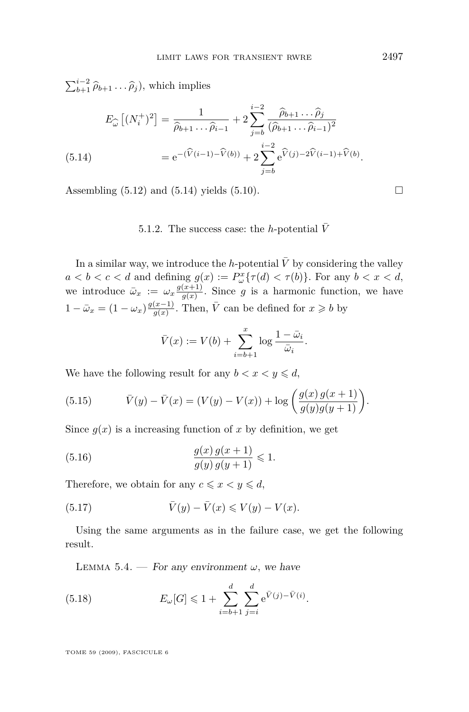<span id="page-29-0"></span> $\sum_{b+1}^{i-2} \hat{\rho}_{b+1} \dots \hat{\rho}_j$ , which implies

$$
E_{\widehat{\omega}}\left[ (N_i^+)^2 \right] = \frac{1}{\widehat{\rho}_{b+1} \dots \widehat{\rho}_{i-1}} + 2 \sum_{j=b}^{i-2} \frac{\widehat{\rho}_{b+1} \dots \widehat{\rho}_j}{(\widehat{\rho}_{b+1} \dots \widehat{\rho}_{i-1})^2}
$$
  
(5.14) 
$$
= e^{-(\widehat{V}(i-1) - \widehat{V}(b))} + 2 \sum_{j=b}^{i-2} e^{\widehat{V}(j) - 2\widehat{V}(i-1) + \widehat{V}(b)}.
$$

Assembling  $(5.12)$  and  $(5.14)$  yields  $(5.10)$ .

#### 5.1.2. The success case: the *h*-potential  $\bar{V}$

In a similar way, we introduce the *h*-potential  $\overline{V}$  by considering the valley  $a < b < c < d$  and defining  $g(x) := P^x_\omega \{ \tau(d) < \tau(b) \}$ *.* For any  $b < x < d$ , we introduce  $\bar{\omega}_x := \omega_x \frac{g(x+1)}{g(x)}$  $\frac{f(x+1)}{g(x)}$ . Since *g* is a harmonic function, we have  $1 - \bar{\omega}_x = (1 - \omega_x) \frac{g(x-1)}{g(x)}$  $\frac{(x-1)}{g(x)}$ . Then,  $\overline{V}$  can be defined for  $x \geqslant b$  by

$$
\bar{V}(x) := V(b) + \sum_{i=b+1}^{x} \log \frac{1-\bar{\omega}_i}{\bar{\omega}_i}.
$$

We have the following result for any  $b < x < y \leq d$ ,

(5.15) 
$$
\bar{V}(y) - \bar{V}(x) = (V(y) - V(x)) + \log \left( \frac{g(x) g(x+1)}{g(y) g(y+1)} \right).
$$

Since  $g(x)$  is a increasing function of x by definition, we get

(5.16) 
$$
\frac{g(x) g(x+1)}{g(y) g(y+1)} \leq 1.
$$

Therefore, we obtain for any  $c \leq x < y \leq d$ ,

(5.17) 
$$
\overline{V}(y) - \overline{V}(x) \leqslant V(y) - V(x).
$$

Using the same arguments as in the failure case, we get the following result.

LEMMA 5.4. — For any environment  $\omega$ , we have

(5.18) 
$$
E_{\omega}[G] \leq 1 + \sum_{i=b+1}^{d} \sum_{j=i}^{d} e^{\bar{V}(j) - \bar{V}(i)}.
$$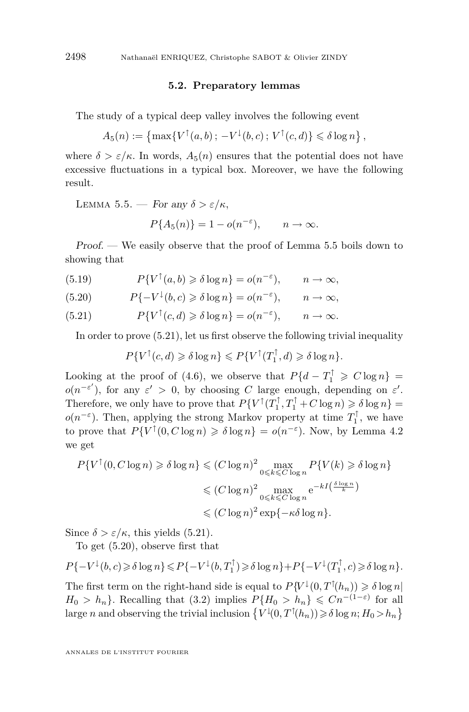#### **5.2. Preparatory lemmas**

<span id="page-30-0"></span>The study of a typical deep valley involves the following event

$$
A_5(n) := \left\{ \max \{ V^\uparrow(a, b) \, ; \, -V^\downarrow(b, c) \, ; \, V^\uparrow(c, d) \} \leq \delta \log n \right\},
$$

where  $\delta > \varepsilon/\kappa$ . In words,  $A_5(n)$  ensures that the potential does not have excessive fluctuations in a typical box. Moreover, we have the following result.

LEMMA 5.5. — For any  $\delta > \varepsilon / \kappa$ ,

$$
P\{A_5(n)\} = 1 - o(n^{-\varepsilon}), \qquad n \to \infty.
$$

Proof. — We easily observe that the proof of Lemma 5.5 boils down to showing that

(5.19) 
$$
P\{V^{\uparrow}(a,b) \geq \delta \log n\} = o(n^{-\varepsilon}), \qquad n \to \infty,
$$

(5.20) 
$$
P\{-V^{\downarrow}(b,c) \geq \delta \log n\} = o(n^{-\varepsilon}), \qquad n \to \infty,
$$

(5.21) 
$$
P\{V^{\uparrow}(c,d) \geq \delta \log n\} = o(n^{-\varepsilon}), \qquad n \to \infty.
$$

In order to prove (5.21), let us first observe the following trivial inequality

$$
P\{V^{\uparrow}(c,d)\geq \delta \log n\}\leq P\{V^{\uparrow}(T_1^{\uparrow},d)\geq \delta \log n\}.
$$

Looking at the proof of [\(4.6\)](#page-13-0), we observe that  $P\{d - T_1^{\uparrow} \geq C \log n\}$  $o(n^{-\varepsilon'})$ , for any  $\varepsilon' > 0$ , by choosing *C* large enough, depending on  $\varepsilon'$ . Therefore, we only have to prove that  $P\{V^{\uparrow}(T_1^{\uparrow}, T_1^{\uparrow} + C \log n) \geq \delta \log n\} =$  $o(n^{-\varepsilon})$ . Then, applying the strong Markov property at time  $T_1^{\uparrow}$ , we have to prove that  $P\{V^{\dagger}(0, C \log n) \geq \delta \log n\} = o(n^{-\epsilon})$ . Now, by Lemma [4.2](#page-10-0) we get

$$
P\{V^{\uparrow}(0, C \log n) \ge \delta \log n\} \le (C \log n)^2 \max_{0 \le k \le C \log n} P\{V(k) \ge \delta \log n\}
$$
  

$$
\le (C \log n)^2 \max_{0 \le k \le C \log n} e^{-kI\left(\frac{\delta \log n}{k}\right)}
$$
  

$$
\le (C \log n)^2 \exp\{-\kappa \delta \log n\}.
$$

Since  $\delta > \varepsilon / \kappa$ , this yields (5.21).

To get (5.20), observe first that

$$
P\{-V^{\downarrow}(b,c)\geq \delta \log n\}\leq P\{-V^{\downarrow}(b,T_1^{\uparrow})\geq \delta \log n\}+P\{-V^{\downarrow}(T_1^{\uparrow},c)\geq \delta \log n\}.
$$

The first term on the right-hand side is equal to  $P\{V^{\downarrow}(0, T^{\uparrow}(h_n)) \geq \delta \log n\}$  $H_0 > h_n$ <sup>}</sup>. Recalling that [\(3.2\)](#page-6-0) implies  $P\{H_0 > h_n\} \leq Cn^{-(1-\varepsilon)}$  for all large *n* and observing the trivial inclusion  $\{V^{\downarrow}(0, T^{\uparrow}(h_n)) \geq \delta \log n; H_0 > h_n\}$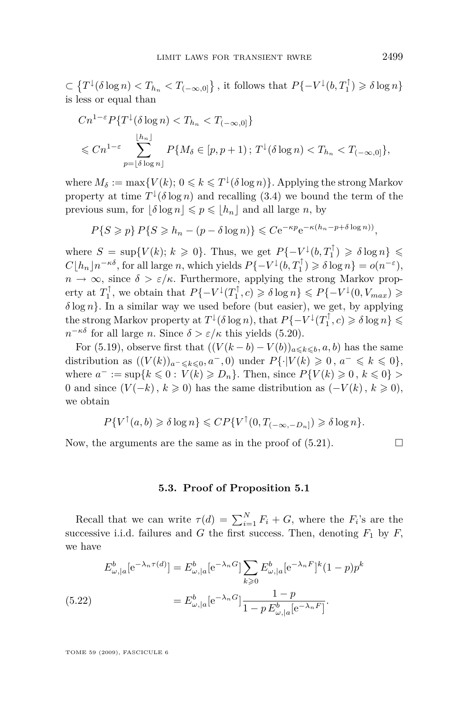$\subset \left\{T^{\downarrow}(\delta\log n) < T_{h_n} < T_{(-\infty,0]}\right\}$ , it follows that  $P\{-V^{\downarrow}(b,T_1^{\uparrow}) \geq \delta \log n\}$ is less or equal than

$$
Cn^{1-\varepsilon}P\{T^{\downarrow}(\delta\log n) < T_{h_n} < T_{(-\infty,0]}\}
$$
\n
$$
\leq Cn^{1-\varepsilon} \sum_{p=\lfloor \delta \log n \rfloor}^{\lfloor h_n \rfloor} P\{M_{\delta} \in [p, p+1) \, ; \, T^{\downarrow}(\delta \log n) < T_{h_n} < T_{(-\infty,0]}\},
$$

where  $M_{\delta} := \max\{V(k); 0 \leq k \leq T^{\downarrow}(\delta \log n)\}\)$ . Applying the strong Markov property at time  $T^{\downarrow}(\delta \log n)$  and recalling [\(3.4\)](#page-6-0) we bound the term of the previous sum, for  $|\delta \log n| \leq p \leq |h_n|$  and all large *n*, by

$$
P\{S \geqslant p\} P\{S \geqslant h_n - (p - \delta \log n)\} \leqslant C e^{-\kappa p} e^{-\kappa (h_n - p + \delta \log n)}.
$$

where  $S = \sup\{V(k); k \geq 0\}$ . Thus, we get  $P\{-V^{\downarrow}(b, T_1^{\uparrow}) \geq \delta \log n\} \leq$  $C\lfloor h_n\rfloor n^{-\kappa\delta}$ , for all large n, which yields  $P\{-V^{\downarrow}(b,T_1^{\uparrow})\geq \delta \log n\} = o(n^{-\varepsilon}),$  $n \to \infty$ , since  $\delta > \varepsilon/\kappa$ . Furthermore, applying the strong Markov property at  $T_1^{\uparrow}$ , we obtain that  $P\{-V^{\downarrow}(T_1^{\uparrow},c) \geq \delta \log n\} \leq P\{-V^{\downarrow}(0,V_{max}) \geq \delta$ *δ* log *n}.* In a similar way we used before (but easier), we get, by applying  $\{$  the strong Markov property at  $T^{\downarrow}(\delta \log n)$ , that  $P\{-V^{\downarrow}(T_1^{\uparrow},c) \geqslant \delta \log n\} \leqslant$  $n^{-\kappa\delta}$  for all large *n*. Since  $\delta > \varepsilon/\kappa$  this yields [\(5.20\)](#page-30-0).

For [\(5.19\)](#page-30-0), observe first that  $((V(k - b) - V(b))_{a \leq k \leq b}, a, b)$  has the same distribution as  $((V(k))_{a^{-} \leq k \leq 0}, a^{-}, 0)$  under  $P\{\cdot |V(k) \geq 0, a^{-} \leq k \leq 0\},$ where  $a^- := \sup\{k \le 0 : V(k) \ge D_n\}$ . Then, since  $P\{V(k) \ge 0, k \le 0\} >$ 0 and since  $(V(-k), k \ge 0)$  has the same distribution as  $(-V(k), k \ge 0)$ , we obtain

$$
P\{V^{\uparrow}(a,b) \geq \delta \log n\} \leq CP\{V^{\uparrow}(0,T_{(-\infty,-D_n]}) \geq \delta \log n\}.
$$

Now, the arguments are the same as in the proof of  $(5.21)$ .

#### **5.3. Proof of Proposition [5.1](#page-25-0)**

Recall that we can write  $\tau(d) = \sum_{i=1}^{N} F_i + G$ , where the  $F_i$ 's are the successive i.i.d. failures and *G* the first success. Then, denoting  $F_1$  by  $F$ , we have

(5.22) 
$$
E_{\omega,|a}^{b}[e^{-\lambda_{n}\tau(d)}] = E_{\omega,|a}^{b}[e^{-\lambda_{n}G}] \sum_{k\geq 0} E_{\omega,|a}^{b}[e^{-\lambda_{n}F}]^{k}(1-p)p^{k}
$$

$$
= E_{\omega,|a}^{b}[e^{-\lambda_{n}G}] \frac{1-p}{1-p E_{\omega,|a}^{b}[e^{-\lambda_{n}F}]}.
$$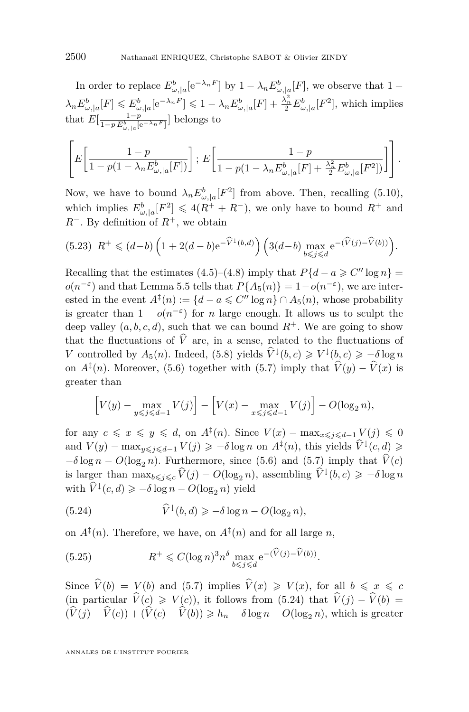<span id="page-32-0"></span>In order to replace  $E^b_{\omega, |a}[\text{e}^{-\lambda_n F}]$  by  $1 - \lambda_n E^b_{\omega, |a}[F]$ , we observe that  $1 - \lambda_n F^b_{\omega, |a|}[F]$  $\lambda_n E_{\omega,|a}^b[F] \leqslant E_{\omega,|a}^b[e^{-\lambda_n F}] \leqslant 1 - \lambda_n E_{\omega,|a}^b[F] + \frac{\lambda_n^2}{2} E_{\omega,|a}^b[F^2]$ , which implies that  $E[\frac{1-p}{1-p E_{\omega, |a}^b[e^{-\lambda_n F}]}]$  belongs to

$$
\left[E\left[\frac{1-p}{1-p(1-\lambda_n E_{\omega,|a}^b[F])}\right];\,E\left[\frac{1-p}{1-p(1-\lambda_n E_{\omega,|a}^b[F]+\frac{\lambda_n^2}{2}E_{\omega,|a}^b[F^2])}\right]\right].
$$

Now, we have to bound  $\lambda_n E^b_{\omega, |a}[F^2]$  from above. Then, recalling [\(5.10\)](#page-26-0), which implies  $E^b_{\omega, |a}[F^2] \leq 4(R^+ + R^-)$ , we only have to bound  $R^+$  and *R*<sup>−</sup>*.* By definition of  $R$ <sup>+</sup>*,* we obtain

$$
(5.23) \ \ R^+ \leq (d-b) \left(1 + 2(d-b) e^{-\widehat{V}^{\downarrow}(b,d)}\right) \left(3(d-b) \max_{b \leq j \leq d} e^{-(\widehat{V}(j) - \widehat{V}(b))}\right).
$$

Recalling that the estimates [\(4.5\)](#page-13-0)–[\(4.8\)](#page-13-0) imply that  $P\{d - a \geq C'' \log n\}$  $o(n^{-\varepsilon})$  and that Lemma [5.5](#page-30-0) tells that  $P{A_5(n)} = 1-o(n^{-\varepsilon})$ , we are interested in the event  $A^{\ddagger}(n) := \{d - a \leq C'' \log n\} \cap A_5(n)$ , whose probability is greater than  $1 - o(n^{-\epsilon})$  for *n* large enough. It allows us to sculpt the deep valley  $(a, b, c, d)$ , such that we can bound  $R^+$ . We are going to show that the fluctuations of  $\hat{V}$  are, in a sense, related to the fluctuations of *V* controlled by  $A_5(n)$ . Indeed, [\(5.8\)](#page-26-0) yields  $\widehat{V}^{\downarrow}(b,c) \geq V^{\downarrow}(b,c) \geq -\delta \log n$ on  $A^{\ddagger}(n)$ . Moreover, [\(5.6\)](#page-26-0) together with [\(5.7\)](#page-26-0) imply that  $\hat{V}(y) - \hat{V}(x)$  is greater than

$$
\[V(y) - \max_{y \leq j \leq d-1} V(j)\] - \[V(x) - \max_{x \leq j \leq d-1} V(j)\] - O(\log_2 n),\]
$$

for any  $c \le x \le y \le d$ , on  $A^{\ddagger}(n)$ *.* Since  $V(x) - \max_{x \le j \le d-1} V(j) \le 0$ and  $V(y) - \max_{y \leq j \leq d-1} V(j) \geq -\delta \log n$  on  $A^{\ddagger}(n)$ , this yields  $\widehat{V}^{\downarrow}(c, d) \geq$  $-\delta \log n - O(\log_2 n)$ . Furthermore, since [\(5.6\)](#page-26-0) and [\(5.7\)](#page-26-0) imply that  $\hat{V}(c)$ is larger than  $\max_{b \leq j \leq c} \hat{V}(j) - O(\log_2 n)$ , assembling  $\hat{V}^{\downarrow}(b, c) \geq -\delta \log n$ with  $\widehat{V}^{\downarrow}(c, d) \geqslant -\delta \log n - O(\log_2 n)$  yield

(5.24) 
$$
\widehat{V}^{\downarrow}(b,d) \geqslant -\delta \log n - O(\log_2 n),
$$

on  $A^{\ddagger}(n)$ . Therefore, we have, on  $A^{\ddagger}(n)$  and for all large *n*,

(5.25) 
$$
R^+ \leq C(\log n)^3 n^{\delta} \max_{b \leq j \leq d} e^{-(\widehat{V}(j) - \widehat{V}(b))}.
$$

Since  $\hat{V}(b) = V(b)$  and [\(5.7\)](#page-26-0) implies  $\hat{V}(x) \geq V(x)$ , for all  $b \leq x \leq c$ (in particular  $\hat{V}(c) \geq V(c)$ ), it follows from (5.24) that  $\hat{V}(j) - \hat{V}(b) =$  $(\widehat{V}(j) - \widehat{V}(c)) + (\widehat{V}(c) - \widehat{V}(b)) \geq h_n - \delta \log n - O(\log_2 n)$ , which is greater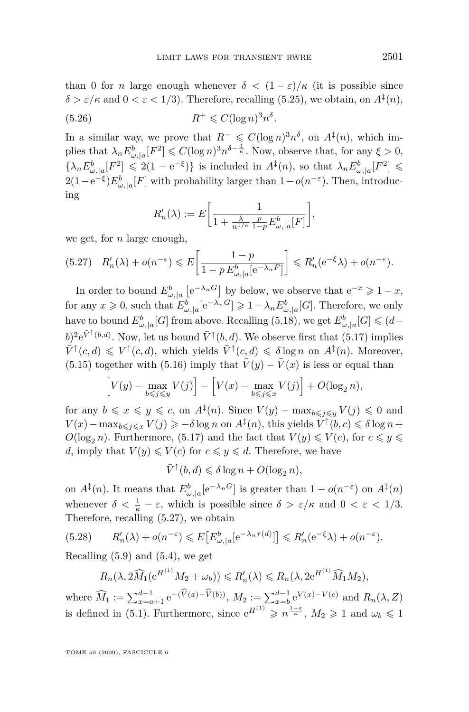<span id="page-33-0"></span>than 0 for *n* large enough whenever  $\delta < (1 - \varepsilon)/\kappa$  (it is possible since  $\delta > \varepsilon/\kappa$  and  $0 < \varepsilon < 1/3$ ). Therefore, recalling [\(5.25\)](#page-32-0), we obtain, on  $A^{\ddagger}(n)$ , *.*

$$
(5.26)\qquad \qquad R^+ \leqslant C(\log n)^3 n^{\delta}
$$

In a similar way, we prove that  $R^{-} \leq C(\log n)^{3} n^{\delta}$ , on  $A^{\ddagger}(n)$ , which implies that  $\lambda_n E^b_{\omega, |a} [F^2] \leqslant C(\log n)^3 n^{\delta - \frac{1}{\kappa}}$ . Now, observe that, for any  $\xi > 0$ ,  $\{\lambda_n E^b_{\omega,|a}[F^2] \leq 2(1 - e^{-\xi})\}\$ is included in  $A^{\ddagger}(n)$ , so that  $\lambda_n E^b_{\omega,|a}[F^2] \leq$ 2(1−e<sup>- $\xi$ </sup>) $E^b_{\omega, |a}[F]$  with probability larger than 1−*o*( $n^{-\varepsilon}$ ). Then, introducing

$$
R'_n(\lambda) := E\bigg[\frac{1}{1 + \frac{\lambda}{n^{1/\kappa}} \frac{p}{1 - p} E^b_{\omega, |a}[F]}\bigg],
$$

we get, for *n* large enough,

$$
(5.27) \quad R'_n(\lambda) + o(n^{-\varepsilon}) \leqslant E\left[\frac{1-p}{1-p\,E^b_{\omega,|a}[\mathrm{e}^{-\lambda_n F}]} \right] \leqslant R'_n(\mathrm{e}^{-\xi}\lambda) + o(n^{-\varepsilon}).
$$

In order to bound  $E^b_{\omega,|a}$   $[e^{-\lambda_n G}]$  by below, we observe that  $e^{-x} \geq 1-x$ , for any  $x \ge 0$ , such that  $E_{\omega,|a}^b[e^{-\lambda_n G}] \ge 1 - \lambda_n E_{\omega,|a}^b[G]$ . Therefore, we only have to bound  $E^b_{\omega, |a}[G]$  from above. Recalling [\(5.18\)](#page-29-0), we get  $E^b_{\omega, |a}[G] \leqslant (d-\frac{1}{2})$  $(b)^2 e^{\bar{V}^{\uparrow}(b,d)}$ . Now, let us bound  $\bar{V}^{\uparrow}(b,d)$ . We observe first that [\(5.17\)](#page-29-0) implies  $\bar{V}^{\uparrow}(c, d) \leq V^{\uparrow}(c, d)$ , which yields  $\bar{V}^{\uparrow}(c, d) \leq \delta \log n$  on  $A^{\ddagger}(n)$ . Moreover, [\(5.15\)](#page-29-0) together with [\(5.16\)](#page-29-0) imply that  $\overline{V}(y) - \overline{V}(x)$  is less or equal than

$$
\[V(y) - \max_{b \leq j \leq y} V(j)\] - \[V(x) - \max_{b \leq j \leq x} V(j)\] + O(\log_2 n),\]
$$

for any  $b \le x \le y \le c$ , on  $A^{\ddagger}(n)$ *.* Since  $V(y) - \max_{b \le j \le y} V(j) \le 0$  and  $V(x) - \max_{b \leq j \leq x} V(j) \geq -\delta \log n$  on  $A^{\ddagger}(n)$ , this yields  $\tilde{V}^{\dagger}(b, c) \leq \delta \log n +$  $O(\log_2 n)$ . Furthermore, [\(5.17\)](#page-29-0) and the fact that  $V(y) \le V(c)$ , for  $c \le y \le c$ *d*, imply that  $\overline{V}(y) \leq \overline{V}(c)$  for  $c \leq y \leq d$ . Therefore, we have

$$
\bar{V}^{\uparrow}(b,d) \leq \delta \log n + O(\log_2 n),
$$

on  $A^{\ddagger}(n)$ . It means that  $E^b_{\omega,|a}[e^{-\lambda_n G}]$  is greater than  $1-o(n^{-\epsilon})$  on  $A^{\ddagger}(n)$ whenever  $\delta < \frac{1}{\kappa} - \varepsilon$ , which is possible since  $\delta > \varepsilon/\kappa$  and  $0 < \varepsilon < 1/3$ . Therefore, recalling (5.27), we obtain

$$
(5.28) \qquad R'_n(\lambda) + o(n^{-\varepsilon}) \leqslant E\big[E^b_{\omega,|a}[e^{-\lambda_n \tau(d)}]\big] \leqslant R'_n(e^{-\xi}\lambda) + o(n^{-\varepsilon}).
$$

Recalling  $(5.9)$  and  $(5.4)$ , we get

$$
R_n(\lambda, 2\widehat{M}_1(e^{H^{(1)}}M_2 + \omega_b)) \le R'_n(\lambda) \le R_n(\lambda, 2e^{H^{(1)}}\widehat{M}_1M_2),
$$

where  $\widehat{M}_1 := \sum_{x=a+1}^{d-1} e^{-(\widehat{V}(x)-\widehat{V}(b))}$ ,  $M_2 := \sum_{x=b}^{d-1} e^{V(x)-V(c)}$  and  $R_n(\lambda, Z)$ is defined in [\(5.1\)](#page-25-0). Furthermore, since  $e^{H^{(1)}} \geq n^{\frac{1-\varepsilon}{\kappa}}$ ,  $M_2 \geq 1$  and  $\omega_b \leq 1$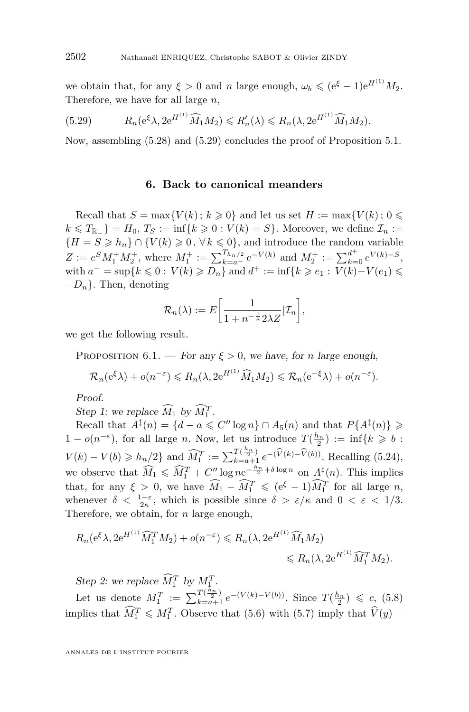<span id="page-34-0"></span>we obtain that, for any  $\xi > 0$  and *n* large enough,  $\omega_b \leqslant (e^{\xi} - 1)e^{H^{(1)}} M_2$ . Therefore, we have for all large *n,*

(5.29) 
$$
R_n(e^{\xi}\lambda, 2e^{H^{(1)}}\widehat{M}_1M_2) \le R'_n(\lambda) \le R_n(\lambda, 2e^{H^{(1)}}\widehat{M}_1M_2).
$$

Now, assembling [\(5.28\)](#page-33-0) and (5.29) concludes the proof of Proposition [5.1.](#page-25-0)

#### **6. Back to canonical meanders**

Recall that  $S = \max\{V(k); k \geq 0\}$  and let us set  $H := \max\{V(k); 0 \leq \epsilon\}$ *k* ≤ *T*<sub>R−</sub>**}** = *H*<sub>0</sub>*, T<sub>S</sub></sub> := inf{<i>k* ≥ 0 : *V*(*k*) = *S*}*.* Moreover, we define  $\mathcal{I}_n$  := *{H* = *S* ≥ *h<sub>n</sub>*</sub>*}* ∩ {*V*(*k*) ≥ 0, ∀ *k* ≤ 0}, and introduce the random variable  $Z := e^S M_1^+ M_2^+$ , where  $M_1^+ := \sum_{k=a}^{T_{h_n/2}} e^{-V(k)}$  and  $M_2^+ := \sum_{k=0}^{d^+} e^{V(k)-S}$ ,  $\text{with } a^- = \sup\{k \leq 0 : V(k) \geq D_n\} \text{ and } d^+ := \inf\{k \geq e_1 : V(k) - V(e_1) \leq$ *−Dn}.* Then, denoting

$$
\mathcal{R}_n(\lambda) := E\bigg[\frac{1}{1 + n^{-\frac{1}{\kappa}} 2\lambda Z} | \mathcal{I}_n\bigg],
$$

we get the following result.

PROPOSITION 6.1. — For any  $\xi > 0$ , we have, for *n* large enough,

$$
\mathcal{R}_n(e^{\xi}\lambda) + o(n^{-\varepsilon}) \le R_n(\lambda, 2e^{H^{(1)}}\widehat{M}_1M_2) \le \mathcal{R}_n(e^{-\xi}\lambda) + o(n^{-\varepsilon}).
$$

Proof.

Step 1: we replace  $\widehat{M}_1$  by  $\widehat{M}_1^T$ .

Recall that  $A^{\ddagger}(n) = \{d - a \leq C'' \log n\} \cap A_5(n)$  and that  $P\{A^{\ddagger}(n)\}\geq$ 1 −  $o(n^{-\varepsilon})$ , for all large *n*. Now, let us introduce  $T(\frac{h_n}{2}) := \inf\{k \geqslant b :$ 2  $V(k) - V(b) \ge h_n/2$  and  $\widehat{M}_1^T := \sum_{k=a+1}^{T(\frac{h_n}{2})} e^{- (\widehat{V}(k) - \widehat{V}(b))}$ . Recalling [\(5.24\)](#page-32-0), we observe that  $\widehat{M}_1 \leq \widehat{M}_1^T + C'' \log n e^{-\frac{h_n}{2} + \delta \log n}$  on  $A^{\ddagger}(n)$ . This implies that, for any  $\xi > 0$ , we have  $\widehat{M}_1 - \widehat{M}_1^T \leqslant (e^{\xi} - 1) \widehat{M}_1^T$  for all large *n*, whenever  $\delta < \frac{1-\varepsilon}{2\kappa}$ , which is possible since  $\delta > \varepsilon/\kappa$  and  $0 < \varepsilon < 1/3$ . Therefore, we obtain, for *n* large enough,

$$
R_n(e^{\xi}\lambda, 2e^{H^{(1)}}\widehat{M}_1^T M_2) + o(n^{-\varepsilon}) \le R_n(\lambda, 2e^{H^{(1)}}\widehat{M}_1 M_2)
$$
  
\$\le R\_n(\lambda, 2e^{H^{(1)}}\widehat{M}\_1^T M\_2)\$.

Step 2: we replace  $\widehat{M}_1^T$  by  $M_1^T$ .

Let us denote  $M_1^T := \sum_{k=a+1}^{T(\frac{h_n}{2})} e^{-\left(V(k)-V(b)\right)}$ . Since  $T(\frac{h_n}{2}) \leq c$ , [\(5.8\)](#page-26-0) implies that  $\widehat{M}_1^T \leq M_1^T$ . Observe that [\(5.6\)](#page-26-0) with [\(5.7\)](#page-26-0) imply that  $\widehat{V}(y)$  –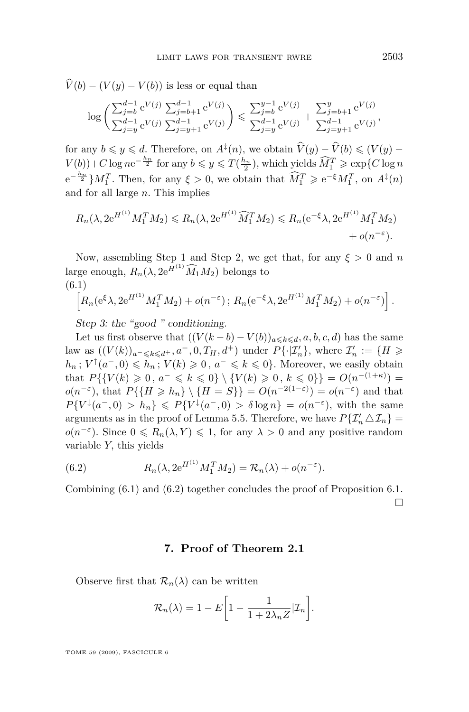$$
V(b) - (V(y) - V(b)) \text{ is less or equal than}
$$

$$
\log \left( \frac{\sum_{j=b}^{d-1} e^{V(j)}}{\sum_{j=y}^{d-1} e^{V(j)}} \frac{\sum_{j=b+1}^{d-1} e^{V(j)}}{\sum_{j=y+1}^{d-1} e^{V(j)}} \right) \le \frac{\sum_{j=b}^{y-1} e^{V(j)}}{\sum_{j=y}^{d-1} e^{V(j)}} + \frac{\sum_{j=b+1}^{y} e^{V(j)}}{\sum_{j=y+1}^{d-1} e^{V(j)}},
$$

for any  $b \leq y \leq d$ . Therefore, on  $A^{\ddagger}(n)$ , we obtain  $\widehat{V}(y) - \widehat{V}(b) \leq (V(y) - \widehat{V}(b)))$  $V(b)$  + *C* log  $ne^{-\frac{h_n}{2}}$  for any  $b \leq y \leq T(\frac{h_n}{2})$ , which yields  $\widehat{M}_1^T \geq e^{2\varepsilon} \mathbb{E}[C \log n]$  $e^{-\frac{h_n}{2}} M_1^T$ . Then, for any  $\xi > 0$ , we obtain that  $\widehat{M}_1^T \geq e^{-\xi} M_1^T$ , on  $A^{\ddagger}(n)$ and for all large *n.* This implies

$$
R_n(\lambda, 2e^{H^{(1)}} M_1^T M_2) \le R_n(\lambda, 2e^{H^{(1)}} \widehat{M}_1^T M_2) \le R_n(e^{-\xi} \lambda, 2e^{H^{(1)}} M_1^T M_2) + o(n^{-\varepsilon}).
$$

Now, assembling Step 1 and Step 2, we get that, for any  $\xi > 0$  and *n* large enough,  $R_n(\lambda, 2e^{\tilde{H}^{(1)}}\widehat{M}_1M_2)$  belongs to (6.1)

$$
\[R_n(e^{\xi}\lambda, 2e^{H^{(1)}}M_1^T M_2) + o(n^{-\varepsilon}); R_n(e^{-\xi}\lambda, 2e^{H^{(1)}}M_1^T M_2) + o(n^{-\varepsilon})\].
$$

Step 3: the "good " conditioning.

Let us first observe that  $((V(k - b) - V(b))_{a \leq k \leq d}, a, b, c, d)$  has the same law as  $((V(k))_{a^- \leq k \leq d^+}, a^-, 0, T_H, d^+)$  under  $P\{\cdot | \mathcal{I}'_n\}$ , where  $\mathcal{I}'_n := \{H \geq 0\}$  $h_n$ ;  $V^{\uparrow}(a^-, 0) \leq h_n$ ;  $V(k) \geq 0$ ,  $a^- \leq k \leq 0$ }*.* Moreover, we easily obtain that  $P\{\{V(k) \geq 0, a^- \leq k \leq 0\} \setminus \{V(k) \geq 0, k \leq 0\}\} = O(n^{-(1+\kappa)})$  $o(n^{-\varepsilon})$ , that  $P\{\{H \geq h_n\} \setminus \{H = S\}\} = O(n^{-2(1-\varepsilon)}) = o(n^{-\varepsilon})$  and that  $P{V<sup>1</sup>(a^-,0) > h_n} \le P{V<sup>1</sup>(a^-,0) > \delta \log n} = o(n^{-\epsilon})$ , with the same arguments as in the proof of Lemma [5.5.](#page-30-0) Therefore, we have  $P\{\mathcal{I}'_n \Delta \mathcal{I}_n\} =$  $o(n^{-\varepsilon})$ *.* Since  $0 \le R_n(\lambda, Y) \le 1$ , for any  $\lambda > 0$  and any positive random variable *Y,* this yields

(6.2) 
$$
R_n(\lambda, 2e^{H^{(1)}} M_1^T M_2) = \mathcal{R}_n(\lambda) + o(n^{-\epsilon}).
$$

Combining (6.1) and (6.2) together concludes the proof of Proposition [6.1.](#page-34-0)  $\Box$ 

#### **7. Proof of Theorem [2.1](#page-4-0)**

Observe first that  $\mathcal{R}_n(\lambda)$  can be written

$$
\mathcal{R}_n(\lambda) = 1 - E\bigg[1 - \frac{1}{1 + 2\lambda_n Z} | \mathcal{I}_n\bigg].
$$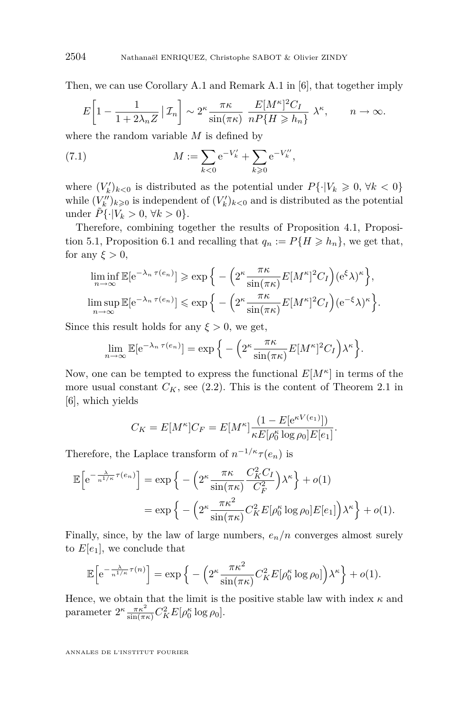Then, we can use Corollary A.1 and Remark A.1 in [\[6\]](#page-39-0), that together imply

$$
E\left[1 - \frac{1}{1 + 2\lambda_n Z} \, \big| \, \mathcal{I}_n\right] \sim 2^{\kappa} \frac{\pi \kappa}{\sin(\pi \kappa)} \, \frac{E[M^{\kappa}]^2 C_I}{nP\{H \ge h_n\}} \, \lambda^{\kappa}, \qquad n \to \infty.
$$

where the random variable *M* is defined by

(7.1) 
$$
M := \sum_{k < 0} e^{-V'_k} + \sum_{k \geq 0} e^{-V''_k},
$$

where  $(V_k')_{k<0}$  is distributed as the potential under  $P\{\cdot|V_k\geq 0, \forall k<0\}$ while  $(V_k'')_{k \geq 0}$  is independent of  $(V_k')_{k \leq 0}$  and is distributed as the potential under  $\tilde{P} \{ \cdot | V_k > 0, \ \forall k > 0 \}.$ 

Therefore, combining together the results of Proposition [4.1,](#page-10-0) Proposi-tion [5.1,](#page-25-0) Proposition [6.1](#page-34-0) and recalling that  $q_n := P\{H \ge h_n\}$ , we get that, for any  $\xi > 0$ ,

$$
\liminf_{n \to \infty} \mathbb{E}[e^{-\lambda_n \tau(e_n)}] \ge \exp\Big\{-\Big(2^{\kappa} \frac{\pi \kappa}{\sin(\pi \kappa)} E[M^{\kappa}]^2 C_I\Big)(e^{\xi} \lambda)^{\kappa}\Big\},\
$$
  

$$
\limsup_{n \to \infty} \mathbb{E}[e^{-\lambda_n \tau(e_n)}] \le \exp\Big\{-\Big(2^{\kappa} \frac{\pi \kappa}{\sin(\pi \kappa)} E[M^{\kappa}]^2 C_I\Big)(e^{-\xi} \lambda)^{\kappa}\Big\}.
$$

Since this result holds for any  $\xi > 0$ , we get,

$$
\lim_{n \to \infty} \mathbb{E}[e^{-\lambda_n \tau(e_n)}] = \exp \Big\{-\Big(2^{\kappa} \frac{\pi \kappa}{\sin(\pi \kappa)} E[M^{\kappa}]^2 C_I\Big)\lambda^{\kappa}\Big\}.
$$

Now, one can be tempted to express the functional  $E[M^{\kappa}]$  in terms of the more usual constant  $C_K$ , see [\(2.2\)](#page-4-0). This is the content of Theorem 2.1 in [\[6\]](#page-39-0), which yields

$$
C_K = E[M^{\kappa}]C_F = E[M^{\kappa}] \frac{(1 - E[e^{\kappa V(e_1)}])}{\kappa E[\rho_0^{\kappa} \log \rho_0] E[e_1]}.
$$

Therefore, the Laplace transform of  $n^{-1/\kappa} \tau(e_n)$  is

$$
\mathbb{E}\left[e^{-\frac{\lambda}{n^{1/\kappa}}\tau(e_n)}\right] = \exp\left\{-\left(2^{\kappa}\frac{\pi\kappa}{\sin(\pi\kappa)}\frac{C_K^2C_I}{C_F^2}\right)\lambda^{\kappa}\right\} + o(1)
$$

$$
= \exp\left\{-\left(2^{\kappa}\frac{\pi\kappa^2}{\sin(\pi\kappa)}C_K^2E[\rho_0^{\kappa}\log\rho_0]E[e_1]\right)\lambda^{\kappa}\right\} + o(1).
$$

Finally, since, by the law of large numbers, *en/n* converges almost surely to  $E[e_1]$ , we conclude that

$$
\mathbb{E}\Big[e^{-\frac{\lambda}{n^{1/\kappa}}\tau(n)}\Big] = \exp\Big\{-\Big(2^{\kappa}\frac{\pi\kappa^2}{\sin(\pi\kappa)}C_K^2E[\rho_0^{\kappa}\log\rho_0]\Big)\lambda^{\kappa}\Big\} + o(1).
$$

Hence, we obtain that the limit is the positive stable law with index  $\kappa$  and parameter  $2^{\kappa} \frac{\pi \kappa^2}{\sin(\pi \kappa)} C_K^2 E[\rho_0^{\kappa} \log \rho_0].$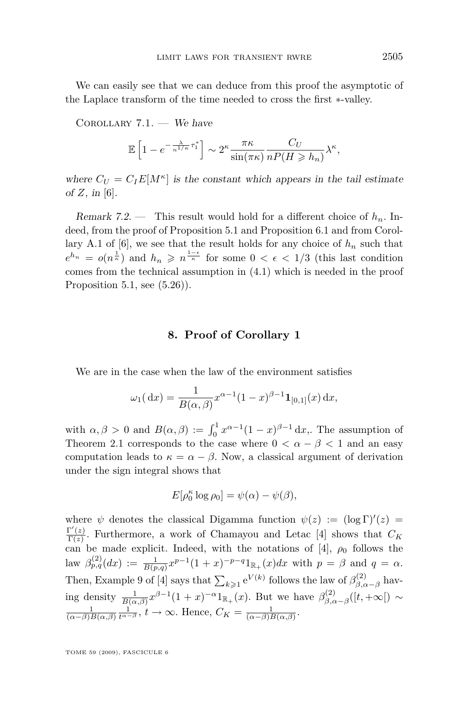We can easily see that we can deduce from this proof the asymptotic of the Laplace transform of the time needed to cross the first *∗*-valley.

COROLLARY  $7.1.$  – We have

$$
\mathbb{E}\left[1 - e^{-\frac{\lambda}{n^{1/\kappa}}\tau_1^*}\right] \sim 2^{\kappa} \frac{\pi \kappa}{\sin(\pi \kappa)} \frac{C_U}{nP(H \ge h_n)} \lambda^{\kappa},
$$

where  $C_U = C_I E[M^{\kappa}]$  is the constant which appears in the tail estimate of  $Z$ , in [\[6\]](#page-39-0).

Remark 7.2. — This result would hold for a different choice of *hn*. Indeed, from the proof of Proposition [5.1](#page-25-0) and Proposition [6.1](#page-34-0) and from Corollary A.1 of  $[6]$ , we see that the result holds for any choice of  $h_n$  such that  $e^{h_n} = o(n^{\frac{1}{\kappa}})$  and  $h_n \geqslant n^{\frac{1-\epsilon}{\kappa}}$  for some  $0 < \epsilon < 1/3$  (this last condition comes from the technical assumption in (4.1) which is needed in the proof Proposition [5.1,](#page-25-0) see  $(5.26)$ .

#### **8. Proof of Corollary 1**

We are in the case when the law of the environment satisfies

$$
\omega_1(\,\mathrm{d}x) = \frac{1}{B(\alpha,\beta)} x^{\alpha-1} (1-x)^{\beta-1} \mathbf{1}_{[0,1]}(x) \,\mathrm{d}x,
$$

with  $\alpha, \beta > 0$  and  $B(\alpha, \beta) := \int_0^1 x^{\alpha-1} (1-x)^{\beta-1} dx$ , The assumption of Theorem [2.1](#page-4-0) corresponds to the case where  $0 < \alpha - \beta < 1$  and an easy computation leads to  $\kappa = \alpha - \beta$ . Now, a classical argument of derivation under the sign integral shows that

$$
E[\rho_0^{\kappa} \log \rho_0] = \psi(\alpha) - \psi(\beta),
$$

where  $\psi$  denotes the classical Digamma function  $\psi(z) := (\log \Gamma)'(z) =$  $\Gamma'(z)$  $\frac{\Gamma(z)}{\Gamma(z)}$ . Furthermore, a work of Chamayou and Letac [\[4\]](#page-38-0) shows that  $C_K$ can be made explicit. Indeed, with the notations of [\[4\]](#page-38-0),  $\rho_0$  follows the  $\lim_{p \to \infty} \beta_{p,q}^{(2)}(dx) := \frac{1}{B(p,q)} x^{p-1} (1+x)^{-p-q} 1_{\mathbb{R}_+}(x) dx$  with  $p = \beta$  and  $q = \alpha$ . Then, Example 9 of [\[4\]](#page-38-0) says that  $\sum_{k\geqslant 1} e^{V(k)}$  follows the law of  $\beta_{\beta,\alpha}^{(2)}$  $\int_{\beta,\alpha-\beta}^{(2)}$  having density  $\frac{1}{B(\alpha,\beta)} x^{\beta-1} (1+x)^{-\alpha} 1_{\mathbb{R}_+}(x)$ . But we have  $\beta_{\beta,c}^{(2)}$ *β,α−β* ([*t,* +*∞*[) *∼*  $\frac{1}{(\alpha-\beta)B(\alpha,\beta)}\frac{1}{t^{\alpha-\beta}}, t \to \infty$ . Hence,  $C_K = \frac{1}{(\alpha-\beta)B(\alpha,\beta)}$ .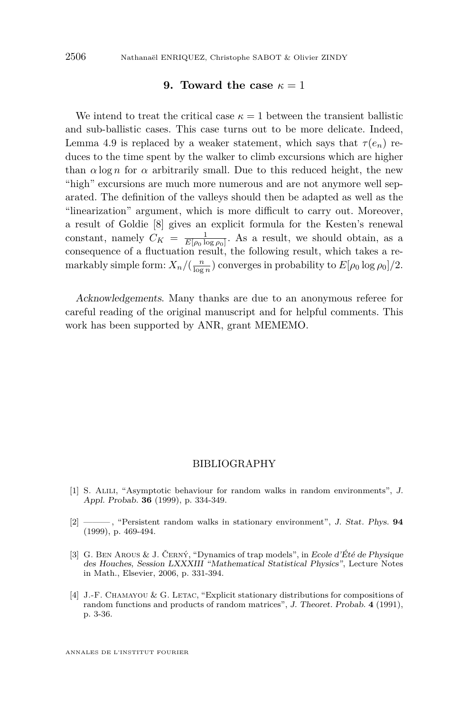#### **9. Toward the case**  $\kappa = 1$

<span id="page-38-0"></span>We intend to treat the critical case  $\kappa = 1$  between the transient ballistic and sub-ballistic cases. This case turns out to be more delicate. Indeed, Lemma [4.9](#page-15-0) is replaced by a weaker statement, which says that  $\tau(e_n)$  reduces to the time spent by the walker to climb excursions which are higher than  $\alpha \log n$  for  $\alpha$  arbitrarily small. Due to this reduced height, the new "high" excursions are much more numerous and are not anymore well separated. The definition of the valleys should then be adapted as well as the "linearization" argument, which is more difficult to carry out. Moreover, a result of Goldie [\[8\]](#page-39-0) gives an explicit formula for the Kesten's renewal constant, namely  $C_K = \frac{1}{E[\rho_0 \log \rho_0]}$ . As a result, we should obtain, as a consequence of a fluctuation result, the following result, which takes a remarkably simple form:  $X_n / (\frac{n}{\log n})$  converges in probability to  $E[\rho_0 \log \rho_0]/2$ .

Acknowledgements. Many thanks are due to an anonymous referee for careful reading of the original manuscript and for helpful comments. This work has been supported by ANR, grant MEMEMO.

#### BIBLIOGRAPHY

- [1] S. Alili, "Asymptotic behaviour for random walks in random environments", J. Appl. Probab. **36** (1999), p. 334-349.
- [2] ——— , "Persistent random walks in stationary environment", J. Stat. Phys. **94** (1999), p. 469-494.
- [3] G. Ben Arous & J. Černý, "Dynamics of trap models", in Ecole d'Été de Physique des Houches, Session LXXXIII "Mathematical Statistical Physics", Lecture Notes in Math., Elsevier, 2006, p. 331-394.
- [4] J.-F. Chamayou & G. Letac, "Explicit stationary distributions for compositions of random functions and products of random matrices", J. Theoret. Probab. **4** (1991), p. 3-36.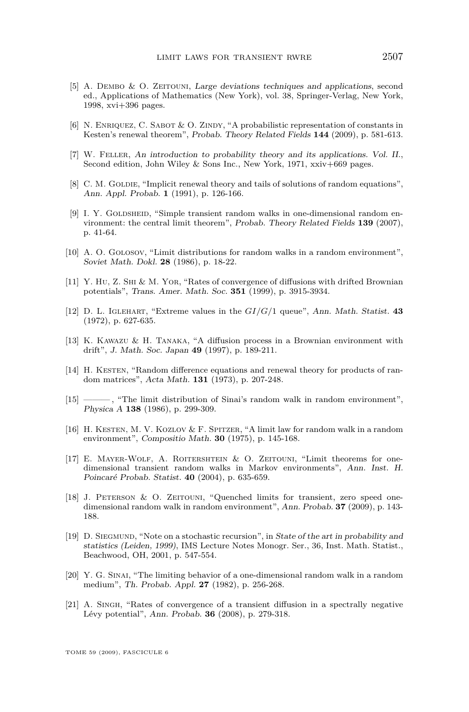- <span id="page-39-0"></span>[5] A. Dembo & O. Zeitouni, Large deviations techniques and applications, second ed., Applications of Mathematics (New York), vol. 38, Springer-Verlag, New York, 1998, xvi+396 pages.
- [6] N. ENRIQUEZ, C. SABOT & O. ZINDY, "A probabilistic representation of constants in Kesten's renewal theorem", Probab. Theory Related Fields **144** (2009), p. 581-613.
- [7] W. Feller, An introduction to probability theory and its applications. Vol. II., Second edition, John Wiley & Sons Inc., New York, 1971, xxiv+669 pages.
- [8] C. M. GOLDIE, "Implicit renewal theory and tails of solutions of random equations", Ann. Appl. Probab. **1** (1991), p. 126-166.
- [9] I. Y. GOLDSHEID, "Simple transient random walks in one-dimensional random environment: the central limit theorem", Probab. Theory Related Fields **139** (2007), p. 41-64.
- [10] A. O. Golosov, "Limit distributions for random walks in a random environment", Soviet Math. Dokl. **28** (1986), p. 18-22.
- [11] Y. Hu, Z. Shi & M. Yor, "Rates of convergence of diffusions with drifted Brownian potentials", Trans. Amer. Math. Soc. **351** (1999), p. 3915-3934.
- [12] D. L. Iglehart, "Extreme values in the *GI/G/*1 queue", Ann. Math. Statist. **43** (1972), p. 627-635.
- [13] K. Kawazu & H. Tanaka, "A diffusion process in a Brownian environment with drift", J. Math. Soc. Japan **49** (1997), p. 189-211.
- [14] H. KESTEN, "Random difference equations and renewal theory for products of random matrices", Acta Math. **131** (1973), p. 207-248.
- [15] ——— , "The limit distribution of Sinai's random walk in random environment", Physica A **138** (1986), p. 299-309.
- [16] H. Kesten, M. V. Kozlov & F. Spitzer, "A limit law for random walk in a random environment", Compositio Math. **30** (1975), p. 145-168.
- [17] E. Mayer-Wolf, A. Roitershtein & O. Zeitouni, "Limit theorems for onedimensional transient random walks in Markov environments", Ann. Inst. H. Poincaré Probab. Statist. **40** (2004), p. 635-659.
- [18] J. Peterson & O. Zeitouni, "Quenched limits for transient, zero speed onedimensional random walk in random environment", Ann. Probab. **37** (2009), p. 143- 188.
- [19] D. Siegmund, "Note on a stochastic recursion", in State of the art in probability and statistics (Leiden, 1999), IMS Lecture Notes Monogr. Ser., 36, Inst. Math. Statist., Beachwood, OH, 2001, p. 547-554.
- [20] Y. G. SINAI, "The limiting behavior of a one-dimensional random walk in a random medium", Th. Probab. Appl. **27** (1982), p. 256-268.
- [21] A. Singh, "Rates of convergence of a transient diffusion in a spectrally negative Lévy potential", Ann. Probab. **36** (2008), p. 279-318.